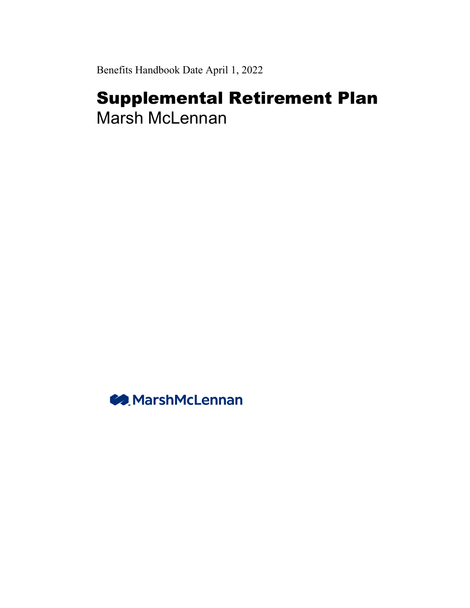Benefits Handbook Date April 1, 2022

# Supplemental Retirement Plan Marsh McLennan

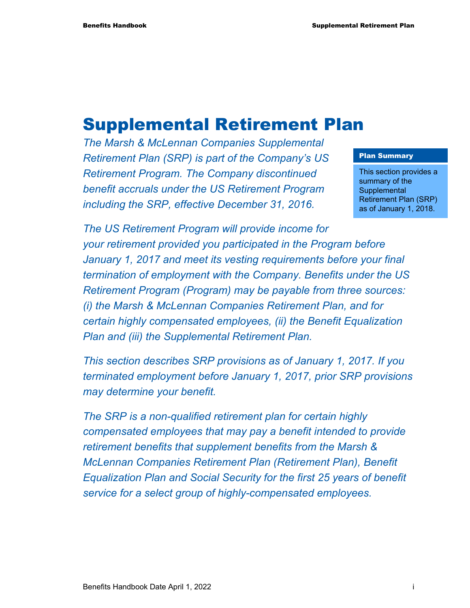# Supplemental Retirement Plan

*The Marsh & McLennan Companies Supplemental Retirement Plan (SRP) is part of the Company's US Retirement Program. The Company discontinued benefit accruals under the US Retirement Program including the SRP, effective December 31, 2016.* 

#### Plan Summary

This section provides a summary of the **Supplemental** Retirement Plan (SRP) as of January 1, 2018.

*The US Retirement Program will provide income for your retirement provided you participated in the Program before January 1, 2017 and meet its vesting requirements before your final termination of employment with the Company. Benefits under the US Retirement Program (Program) may be payable from three sources: (i) the Marsh & McLennan Companies Retirement Plan, and for certain highly compensated employees, (ii) the Benefit Equalization Plan and (iii) the Supplemental Retirement Plan.* 

*This section describes SRP provisions as of January 1, 2017. If you terminated employment before January 1, 2017, prior SRP provisions may determine your benefit.* 

*The SRP is a non-qualified retirement plan for certain highly compensated employees that may pay a benefit intended to provide retirement benefits that supplement benefits from the Marsh & McLennan Companies Retirement Plan (Retirement Plan), Benefit Equalization Plan and Social Security for the first 25 years of benefit service for a select group of highly-compensated employees.*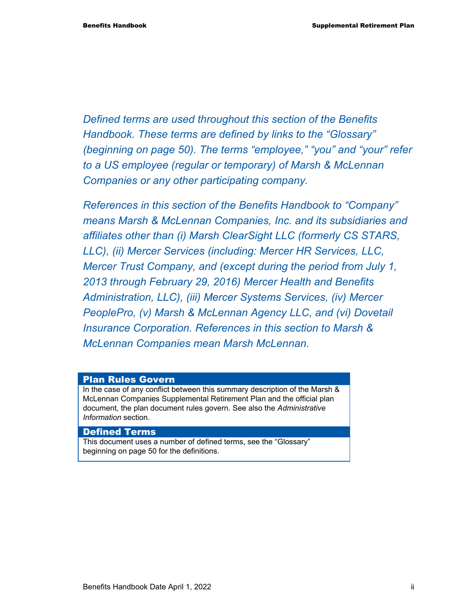*Defined terms are used throughout this section of the Benefits Handbook. These terms are defined by links to the "Glossary" (beginning on page 50). The terms "employee," "you" and "your" refer to a US employee (regular or temporary) of Marsh & McLennan Companies or any other participating company.* 

*References in this section of the Benefits Handbook to "Company" means Marsh & McLennan Companies, Inc. and its subsidiaries and affiliates other than (i) Marsh ClearSight LLC (formerly CS STARS, LLC), (ii) Mercer Services (including: Mercer HR Services, LLC, Mercer Trust Company, and (except during the period from July 1, 2013 through February 29, 2016) Mercer Health and Benefits Administration, LLC), (iii) Mercer Systems Services, (iv) Mercer PeoplePro, (v) Marsh & McLennan Agency LLC, and (vi) Dovetail Insurance Corporation. References in this section to Marsh & McLennan Companies mean Marsh McLennan.* 

#### Plan Rules Govern

In the case of any conflict between this summary description of the Marsh & McLennan Companies Supplemental Retirement Plan and the official plan document, the plan document rules govern. See also the *Administrative Information* section.

#### Defined Terms

This document uses a number of defined terms, see the "Glossary" beginning on page 50 for the definitions.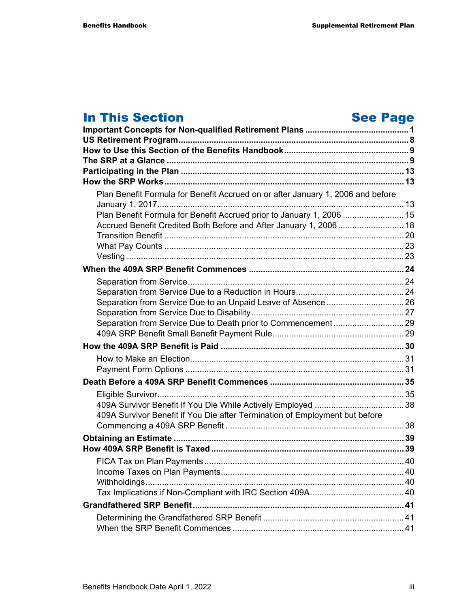# **In This Section See Page 1.1 A.1 See Page 1.1 A.1 See Page**

| Plan Benefit Formula for Benefit Accrued on or after January 1, 2006 and before |  |
|---------------------------------------------------------------------------------|--|
| Plan Benefit Formula for Benefit Accrued prior to January 1, 2006  15           |  |
| Accrued Benefit Credited Both Before and After January 1, 2006 18               |  |
|                                                                                 |  |
|                                                                                 |  |
|                                                                                 |  |
|                                                                                 |  |
|                                                                                 |  |
|                                                                                 |  |
|                                                                                 |  |
|                                                                                 |  |
|                                                                                 |  |
|                                                                                 |  |
|                                                                                 |  |
|                                                                                 |  |
|                                                                                 |  |
|                                                                                 |  |
|                                                                                 |  |
| 409A Survivor Benefit if You Die after Termination of Employment but before     |  |
|                                                                                 |  |
|                                                                                 |  |
|                                                                                 |  |
|                                                                                 |  |
|                                                                                 |  |
|                                                                                 |  |
|                                                                                 |  |
|                                                                                 |  |
|                                                                                 |  |
|                                                                                 |  |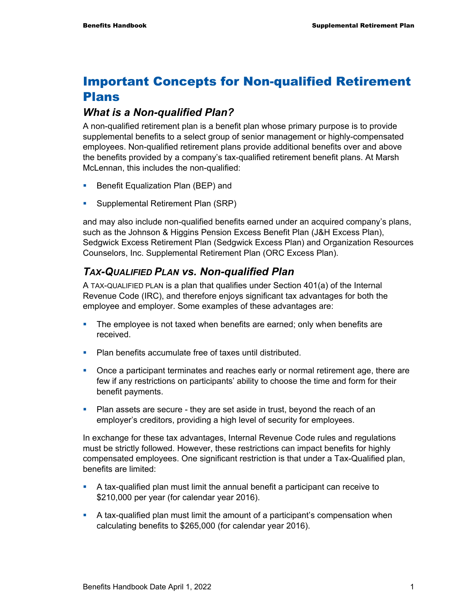# Important Concepts for Non-qualified Retirement Plans

#### *What is a Non-qualified Plan?*

A non-qualified retirement plan is a benefit plan whose primary purpose is to provide supplemental benefits to a select group of senior management or highly-compensated employees. Non-qualified retirement plans provide additional benefits over and above the benefits provided by a company's tax-qualified retirement benefit plans. At Marsh McLennan, this includes the non-qualified:

- **Benefit Equalization Plan (BEP) and**
- **Supplemental Retirement Plan (SRP)**

and may also include non-qualified benefits earned under an acquired company's plans, such as the Johnson & Higgins Pension Excess Benefit Plan (J&H Excess Plan), Sedgwick Excess Retirement Plan (Sedgwick Excess Plan) and Organization Resources Counselors, Inc. Supplemental Retirement Plan (ORC Excess Plan).

### *TAX-QUALIFIED PLAN vs. Non-qualified Plan*

A TAX-QUALIFIED PLAN is a plan that qualifies under Section 401(a) of the Internal Revenue Code (IRC), and therefore enjoys significant tax advantages for both the employee and employer. Some examples of these advantages are:

- The employee is not taxed when benefits are earned; only when benefits are received.
- **Plan benefits accumulate free of taxes until distributed.**
- Once a participant terminates and reaches early or normal retirement age, there are few if any restrictions on participants' ability to choose the time and form for their benefit payments.
- **Plan assets are secure they are set aside in trust, beyond the reach of an** employer's creditors, providing a high level of security for employees.

In exchange for these tax advantages, Internal Revenue Code rules and regulations must be strictly followed. However, these restrictions can impact benefits for highly compensated employees. One significant restriction is that under a Tax-Qualified plan, benefits are limited:

- A tax-qualified plan must limit the annual benefit a participant can receive to \$210,000 per year (for calendar year 2016).
- A tax-qualified plan must limit the amount of a participant's compensation when calculating benefits to \$265,000 (for calendar year 2016).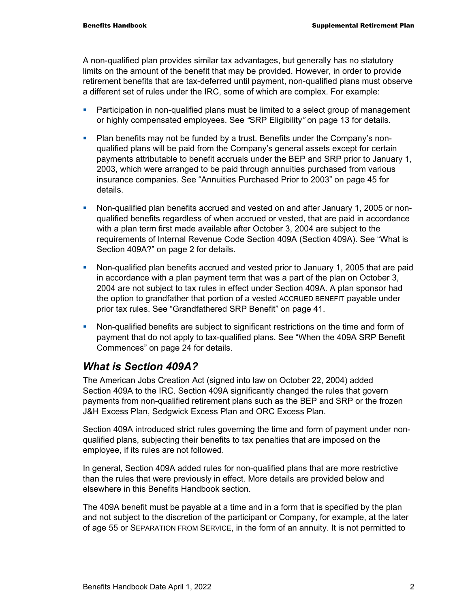A non-qualified plan provides similar tax advantages, but generally has no statutory limits on the amount of the benefit that may be provided. However, in order to provide retirement benefits that are tax-deferred until payment, non-qualified plans must observe a different set of rules under the IRC, some of which are complex. For example:

- **Participation in non-qualified plans must be limited to a select group of management** or highly compensated employees. See *"*SRP Eligibility*"* on page 13 for details*.*
- Plan benefits may not be funded by a trust. Benefits under the Company's nonqualified plans will be paid from the Company's general assets except for certain payments attributable to benefit accruals under the BEP and SRP prior to January 1, 2003, which were arranged to be paid through annuities purchased from various insurance companies. See "Annuities Purchased Prior to 2003" on page 45 for details.
- Non-qualified plan benefits accrued and vested on and after January 1, 2005 or nonqualified benefits regardless of when accrued or vested, that are paid in accordance with a plan term first made available after October 3, 2004 are subject to the requirements of Internal Revenue Code Section 409A (Section 409A). See "What is Section 409A?" on page 2 for details.
- Non-qualified plan benefits accrued and vested prior to January 1, 2005 that are paid in accordance with a plan payment term that was a part of the plan on October 3, 2004 are not subject to tax rules in effect under Section 409A. A plan sponsor had the option to grandfather that portion of a vested ACCRUED BENEFIT payable under prior tax rules. See "Grandfathered SRP Benefit" on page 41.
- Non-qualified benefits are subject to significant restrictions on the time and form of payment that do not apply to tax-qualified plans. See "When the 409A SRP Benefit Commences" on page 24 for details.

### *What is Section 409A?*

The American Jobs Creation Act (signed into law on October 22, 2004) added Section 409A to the IRC. Section 409A significantly changed the rules that govern payments from non-qualified retirement plans such as the BEP and SRP or the frozen J&H Excess Plan, Sedgwick Excess Plan and ORC Excess Plan.

Section 409A introduced strict rules governing the time and form of payment under nonqualified plans, subjecting their benefits to tax penalties that are imposed on the employee, if its rules are not followed.

In general, Section 409A added rules for non-qualified plans that are more restrictive than the rules that were previously in effect. More details are provided below and elsewhere in this Benefits Handbook section.

The 409A benefit must be payable at a time and in a form that is specified by the plan and not subject to the discretion of the participant or Company, for example, at the later of age 55 or SEPARATION FROM SERVICE, in the form of an annuity. It is not permitted to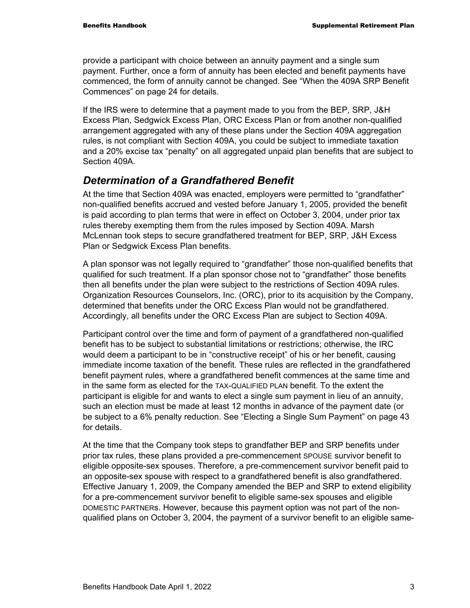provide a participant with choice between an annuity payment and a single sum payment. Further, once a form of annuity has been elected and benefit payments have commenced, the form of annuity cannot be changed. See "When the 409A SRP Benefit Commences" on page 24 for details.

If the IRS were to determine that a payment made to you from the BEP, SRP, J&H Excess Plan, Sedgwick Excess Plan, ORC Excess Plan or from another non-qualified arrangement aggregated with any of these plans under the Section 409A aggregation rules, is not compliant with Section 409A, you could be subject to immediate taxation and a 20% excise tax "penalty" on all aggregated unpaid plan benefits that are subject to Section 409A.

#### *Determination of a Grandfathered Benefit*

At the time that Section 409A was enacted, employers were permitted to "grandfather" non-qualified benefits accrued and vested before January 1, 2005, provided the benefit is paid according to plan terms that were in effect on October 3, 2004, under prior tax rules thereby exempting them from the rules imposed by Section 409A. Marsh McLennan took steps to secure grandfathered treatment for BEP, SRP, J&H Excess Plan or Sedgwick Excess Plan benefits.

A plan sponsor was not legally required to "grandfather" those non-qualified benefits that qualified for such treatment. If a plan sponsor chose not to "grandfather" those benefits then all benefits under the plan were subject to the restrictions of Section 409A rules. Organization Resources Counselors, Inc. (ORC), prior to its acquisition by the Company, determined that benefits under the ORC Excess Plan would not be grandfathered. Accordingly, all benefits under the ORC Excess Plan are subject to Section 409A.

Participant control over the time and form of payment of a grandfathered non-qualified benefit has to be subject to substantial limitations or restrictions; otherwise, the IRC would deem a participant to be in "constructive receipt" of his or her benefit, causing immediate income taxation of the benefit. These rules are reflected in the grandfathered benefit payment rules, where a grandfathered benefit commences at the same time and in the same form as elected for the TAX-QUALIFIED PLAN benefit. To the extent the participant is eligible for and wants to elect a single sum payment in lieu of an annuity, such an election must be made at least 12 months in advance of the payment date (or be subject to a 6% penalty reduction. See "Electing a Single Sum Payment" on page 43 for details.

At the time that the Company took steps to grandfather BEP and SRP benefits under prior tax rules, these plans provided a pre-commencement SPOUSE survivor benefit to eligible opposite-sex spouses. Therefore, a pre-commencement survivor benefit paid to an opposite-sex spouse with respect to a grandfathered benefit is also grandfathered. Effective January 1, 2009, the Company amended the BEP and SRP to extend eligibility for a pre-commencement survivor benefit to eligible same-sex spouses and eligible DOMESTIC PARTNERs. However, because this payment option was not part of the nonqualified plans on October 3, 2004, the payment of a survivor benefit to an eligible same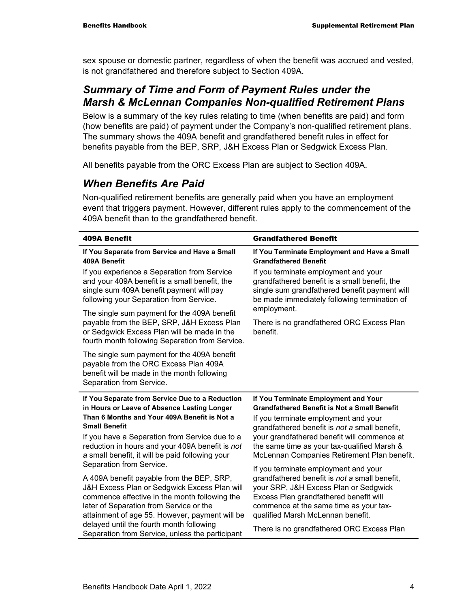sex spouse or domestic partner, regardless of when the benefit was accrued and vested, is not grandfathered and therefore subject to Section 409A.

### *Summary of Time and Form of Payment Rules under the Marsh & McLennan Companies Non-qualified Retirement Plans*

Below is a summary of the key rules relating to time (when benefits are paid) and form (how benefits are paid) of payment under the Company's non-qualified retirement plans. The summary shows the 409A benefit and grandfathered benefit rules in effect for benefits payable from the BEP, SRP, J&H Excess Plan or Sedgwick Excess Plan.

All benefits payable from the ORC Excess Plan are subject to Section 409A.

### *When Benefits Are Paid*

Non-qualified retirement benefits are generally paid when you have an employment event that triggers payment. However, different rules apply to the commencement of the 409A benefit than to the grandfathered benefit.

| <b>409A Benefit</b>                                                                                                                                                                                                                                                                                                            | <b>Grandfathered Benefit</b>                                                                                                                                                                                                                                                                                                      |
|--------------------------------------------------------------------------------------------------------------------------------------------------------------------------------------------------------------------------------------------------------------------------------------------------------------------------------|-----------------------------------------------------------------------------------------------------------------------------------------------------------------------------------------------------------------------------------------------------------------------------------------------------------------------------------|
| If You Separate from Service and Have a Small<br>409A Benefit                                                                                                                                                                                                                                                                  | If You Terminate Employment and Have a Small<br><b>Grandfathered Benefit</b>                                                                                                                                                                                                                                                      |
| If you experience a Separation from Service<br>and your 409A benefit is a small benefit, the<br>single sum 409A benefit payment will pay<br>following your Separation from Service.                                                                                                                                            | If you terminate employment and your<br>grandfathered benefit is a small benefit, the<br>single sum grandfathered benefit payment will<br>be made immediately following termination of                                                                                                                                            |
| The single sum payment for the 409A benefit                                                                                                                                                                                                                                                                                    | employment.                                                                                                                                                                                                                                                                                                                       |
| payable from the BEP, SRP, J&H Excess Plan<br>or Sedgwick Excess Plan will be made in the<br>fourth month following Separation from Service.                                                                                                                                                                                   | There is no grandfathered ORC Excess Plan<br>benefit.                                                                                                                                                                                                                                                                             |
| The single sum payment for the 409A benefit<br>payable from the ORC Excess Plan 409A<br>benefit will be made in the month following<br>Separation from Service.                                                                                                                                                                |                                                                                                                                                                                                                                                                                                                                   |
| If You Separate from Service Due to a Reduction<br>in Hours or Leave of Absence Lasting Longer<br>Than 6 Months and Your 409A Benefit is Not a<br><b>Small Benefit</b><br>If you have a Separation from Service due to a<br>reduction in hours and your 409A benefit is not<br>a small benefit, it will be paid following your | If You Terminate Employment and Your<br><b>Grandfathered Benefit is Not a Small Benefit</b><br>If you terminate employment and your<br>grandfathered benefit is not a small benefit,<br>your grandfathered benefit will commence at<br>the same time as your tax-qualified Marsh &<br>McLennan Companies Retirement Plan benefit. |
| Separation from Service.                                                                                                                                                                                                                                                                                                       | If you terminate employment and your                                                                                                                                                                                                                                                                                              |
| A 409A benefit payable from the BEP, SRP,<br>J&H Excess Plan or Sedgwick Excess Plan will<br>commence effective in the month following the<br>later of Separation from Service or the<br>attainment of age 55. However, payment will be<br>delayed until the fourth month following                                            | grandfathered benefit is not a small benefit,<br>your SRP, J&H Excess Plan or Sedgwick<br>Excess Plan grandfathered benefit will<br>commence at the same time as your tax-<br>qualified Marsh McLennan benefit.                                                                                                                   |
| Separation from Service, unless the participant                                                                                                                                                                                                                                                                                | There is no grandfathered ORC Excess Plan                                                                                                                                                                                                                                                                                         |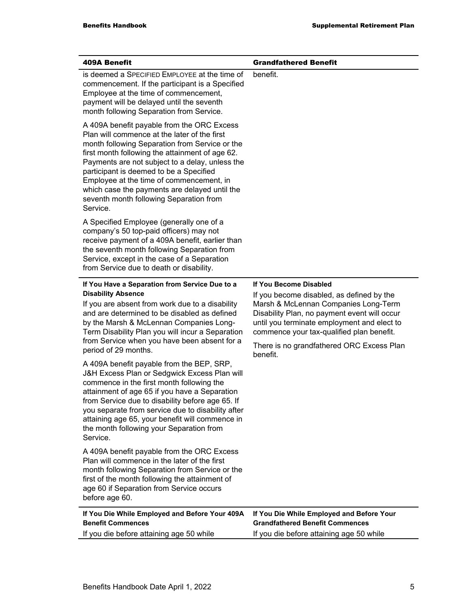| <b>409A Benefit</b>                                                                                                                                                                                                                                                                                                                                                                                                                               | <b>Grandfathered Benefit</b>                                                                                                                                                                                                                                                                         |
|---------------------------------------------------------------------------------------------------------------------------------------------------------------------------------------------------------------------------------------------------------------------------------------------------------------------------------------------------------------------------------------------------------------------------------------------------|------------------------------------------------------------------------------------------------------------------------------------------------------------------------------------------------------------------------------------------------------------------------------------------------------|
| is deemed a SPECIFIED EMPLOYEE at the time of<br>commencement. If the participant is a Specified<br>Employee at the time of commencement,<br>payment will be delayed until the seventh<br>month following Separation from Service.                                                                                                                                                                                                                | benefit.                                                                                                                                                                                                                                                                                             |
| A 409A benefit payable from the ORC Excess<br>Plan will commence at the later of the first<br>month following Separation from Service or the<br>first month following the attainment of age 62.<br>Payments are not subject to a delay, unless the<br>participant is deemed to be a Specified<br>Employee at the time of commencement, in<br>which case the payments are delayed until the<br>seventh month following Separation from<br>Service. |                                                                                                                                                                                                                                                                                                      |
| A Specified Employee (generally one of a<br>company's 50 top-paid officers) may not<br>receive payment of a 409A benefit, earlier than<br>the seventh month following Separation from<br>Service, except in the case of a Separation<br>from Service due to death or disability.                                                                                                                                                                  |                                                                                                                                                                                                                                                                                                      |
| If You Have a Separation from Service Due to a<br><b>Disability Absence</b><br>If you are absent from work due to a disability<br>and are determined to be disabled as defined<br>by the Marsh & McLennan Companies Long-<br>Term Disability Plan you will incur a Separation<br>from Service when you have been absent for a<br>period of 29 months.                                                                                             | If You Become Disabled<br>If you become disabled, as defined by the<br>Marsh & McLennan Companies Long-Term<br>Disability Plan, no payment event will occur<br>until you terminate employment and elect to<br>commence your tax-qualified plan benefit.<br>There is no grandfathered ORC Excess Plan |
| A 409A benefit payable from the BEP, SRP,<br>J&H Excess Plan or Sedgwick Excess Plan will<br>commence in the first month following the<br>attainment of age 65 if you have a Separation<br>from Service due to disability before age 65. If<br>you separate from service due to disability after<br>attaining age 65, your benefit will commence in<br>the month following your Separation from<br>Service.                                       | benefit.                                                                                                                                                                                                                                                                                             |
| A 409A benefit payable from the ORC Excess<br>Plan will commence in the later of the first<br>month following Separation from Service or the<br>first of the month following the attainment of<br>age 60 if Separation from Service occurs<br>before age 60.                                                                                                                                                                                      |                                                                                                                                                                                                                                                                                                      |
| If You Die While Employed and Before Your 409A<br><b>Benefit Commences</b><br>If you die before attaining age 50 while                                                                                                                                                                                                                                                                                                                            | If You Die While Employed and Before Your<br><b>Grandfathered Benefit Commences</b><br>If you die before attaining age 50 while                                                                                                                                                                      |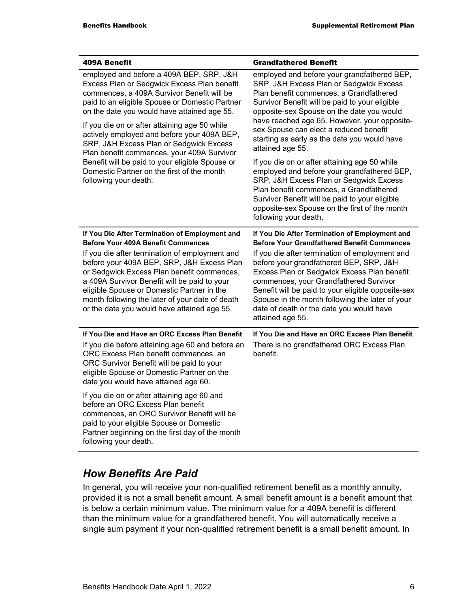| <b>409A Benefit</b>                                                                                                                                                                                                                                                                                                                        | <b>Grandfathered Benefit</b>                                                                                                                                                                                                                                                                                                                                |  |
|--------------------------------------------------------------------------------------------------------------------------------------------------------------------------------------------------------------------------------------------------------------------------------------------------------------------------------------------|-------------------------------------------------------------------------------------------------------------------------------------------------------------------------------------------------------------------------------------------------------------------------------------------------------------------------------------------------------------|--|
| employed and before a 409A BEP, SRP, J&H<br>Excess Plan or Sedgwick Excess Plan benefit<br>commences, a 409A Survivor Benefit will be<br>paid to an eligible Spouse or Domestic Partner<br>on the date you would have attained age 55.                                                                                                     | employed and before your grandfathered BEP,<br>SRP, J&H Excess Plan or Sedgwick Excess<br>Plan benefit commences, a Grandfathered<br>Survivor Benefit will be paid to your eligible<br>opposite-sex Spouse on the date you would<br>have reached age 65. However, your opposite-                                                                            |  |
| If you die on or after attaining age 50 while<br>actively employed and before your 409A BEP,<br>SRP, J&H Excess Plan or Sedgwick Excess<br>Plan benefit commences, your 409A Survivor                                                                                                                                                      | sex Spouse can elect a reduced benefit<br>starting as early as the date you would have<br>attained age 55.                                                                                                                                                                                                                                                  |  |
| Benefit will be paid to your eligible Spouse or<br>Domestic Partner on the first of the month<br>following your death.                                                                                                                                                                                                                     | If you die on or after attaining age 50 while<br>employed and before your grandfathered BEP,<br>SRP, J&H Excess Plan or Sedgwick Excess<br>Plan benefit commences, a Grandfathered<br>Survivor Benefit will be paid to your eligible<br>opposite-sex Spouse on the first of the month<br>following your death.                                              |  |
| If You Die After Termination of Employment and<br><b>Before Your 409A Benefit Commences</b>                                                                                                                                                                                                                                                | If You Die After Termination of Employment and<br><b>Before Your Grandfathered Benefit Commences</b>                                                                                                                                                                                                                                                        |  |
| If you die after termination of employment and<br>before your 409A BEP, SRP, J&H Excess Plan<br>or Sedgwick Excess Plan benefit commences,<br>a 409A Survivor Benefit will be paid to your<br>eligible Spouse or Domestic Partner in the<br>month following the later of your date of death<br>or the date you would have attained age 55. | If you die after termination of employment and<br>before your grandfathered BEP, SRP, J&H<br>Excess Plan or Sedgwick Excess Plan benefit<br>commences, your Grandfathered Survivor<br>Benefit will be paid to your eligible opposite-sex<br>Spouse in the month following the later of your<br>date of death or the date you would have<br>attained age 55. |  |
| If You Die and Have an ORC Excess Plan Benefit<br>If you die before attaining age 60 and before an<br>ORC Excess Plan benefit commences, an<br>ORC Survivor Benefit will be paid to your<br>eligible Spouse or Domestic Partner on the<br>date you would have attained age 60.                                                             | If You Die and Have an ORC Excess Plan Benefit<br>There is no grandfathered ORC Excess Plan<br>benefit.                                                                                                                                                                                                                                                     |  |
| If you die on or after attaining age 60 and<br>before an ORC Excess Plan benefit<br>commences, an ORC Survivor Benefit will be<br>paid to your eligible Spouse or Domestic<br>Partner beginning on the first day of the month<br>following your death.                                                                                     |                                                                                                                                                                                                                                                                                                                                                             |  |

### *How Benefits Are Paid*

In general, you will receive your non-qualified retirement benefit as a monthly annuity, provided it is not a small benefit amount. A small benefit amount is a benefit amount that is below a certain minimum value. The minimum value for a 409A benefit is different than the minimum value for a grandfathered benefit. You will automatically receive a single sum payment if your non-qualified retirement benefit is a small benefit amount. In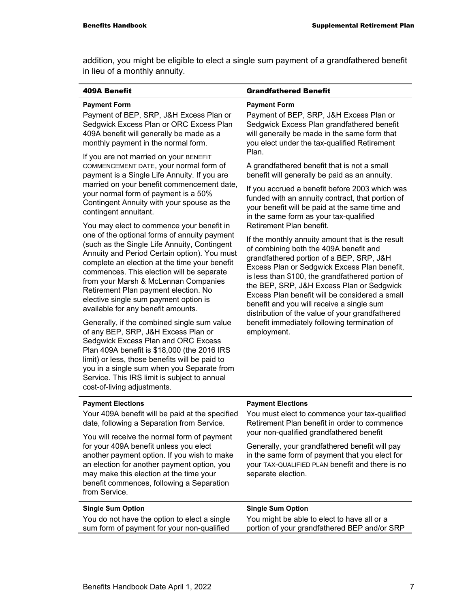addition, you might be eligible to elect a single sum payment of a grandfathered benefit in lieu of a monthly annuity.

| <b>409A Benefit</b>                                                                                                                                                                                                                                                                                                                                                                                                                                                                                                                                                                                                                                                                                                                                                                                               | <b>Grandfathered Benefit</b>                                                                                                                                                                                                                                                                                                                                                                                                                                                                                                         |
|-------------------------------------------------------------------------------------------------------------------------------------------------------------------------------------------------------------------------------------------------------------------------------------------------------------------------------------------------------------------------------------------------------------------------------------------------------------------------------------------------------------------------------------------------------------------------------------------------------------------------------------------------------------------------------------------------------------------------------------------------------------------------------------------------------------------|--------------------------------------------------------------------------------------------------------------------------------------------------------------------------------------------------------------------------------------------------------------------------------------------------------------------------------------------------------------------------------------------------------------------------------------------------------------------------------------------------------------------------------------|
| <b>Payment Form</b><br>Payment of BEP, SRP, J&H Excess Plan or<br>Sedgwick Excess Plan or ORC Excess Plan<br>409A benefit will generally be made as a<br>monthly payment in the normal form.<br>If you are not married on your BENEFIT                                                                                                                                                                                                                                                                                                                                                                                                                                                                                                                                                                            | <b>Payment Form</b><br>Payment of BEP, SRP, J&H Excess Plan or<br>Sedgwick Excess Plan grandfathered benefit<br>will generally be made in the same form that<br>you elect under the tax-qualified Retirement<br>Plan.                                                                                                                                                                                                                                                                                                                |
| COMMENCEMENT DATE, your normal form of<br>payment is a Single Life Annuity. If you are<br>married on your benefit commencement date,<br>your normal form of payment is a 50%<br>Contingent Annuity with your spouse as the<br>contingent annuitant.                                                                                                                                                                                                                                                                                                                                                                                                                                                                                                                                                               | A grandfathered benefit that is not a small<br>benefit will generally be paid as an annuity.<br>If you accrued a benefit before 2003 which was<br>funded with an annuity contract, that portion of<br>your benefit will be paid at the same time and<br>in the same form as your tax-qualified                                                                                                                                                                                                                                       |
| You may elect to commence your benefit in<br>one of the optional forms of annuity payment<br>(such as the Single Life Annuity, Contingent<br>Annuity and Period Certain option). You must<br>complete an election at the time your benefit<br>commences. This election will be separate<br>from your Marsh & McLennan Companies<br>Retirement Plan payment election. No<br>elective single sum payment option is<br>available for any benefit amounts.<br>Generally, if the combined single sum value<br>of any BEP, SRP, J&H Excess Plan or<br>Sedgwick Excess Plan and ORC Excess<br>Plan 409A benefit is \$18,000 (the 2016 IRS<br>limit) or less, those benefits will be paid to<br>you in a single sum when you Separate from<br>Service. This IRS limit is subject to annual<br>cost-of-living adjustments. | Retirement Plan benefit.<br>If the monthly annuity amount that is the result<br>of combining both the 409A benefit and<br>grandfathered portion of a BEP, SRP, J&H<br>Excess Plan or Sedgwick Excess Plan benefit,<br>is less than \$100, the grandfathered portion of<br>the BEP, SRP, J&H Excess Plan or Sedgwick<br>Excess Plan benefit will be considered a small<br>benefit and you will receive a single sum<br>distribution of the value of your grandfathered<br>benefit immediately following termination of<br>employment. |
| <b>Payment Elections</b><br>Your 409A benefit will be paid at the specified<br>date, following a Separation from Service.                                                                                                                                                                                                                                                                                                                                                                                                                                                                                                                                                                                                                                                                                         | <b>Payment Elections</b><br>You must elect to commence your tax-qualified<br>Retirement Plan benefit in order to commence                                                                                                                                                                                                                                                                                                                                                                                                            |
| You will receive the normal form of payment                                                                                                                                                                                                                                                                                                                                                                                                                                                                                                                                                                                                                                                                                                                                                                       | your non-qualified grandfathered benefit                                                                                                                                                                                                                                                                                                                                                                                                                                                                                             |
| for your 409A benefit unless you elect<br>another payment option. If you wish to make<br>an election for another payment option, you<br>may make this election at the time your<br>benefit commences, following a Separation<br>from Service.                                                                                                                                                                                                                                                                                                                                                                                                                                                                                                                                                                     | Generally, your grandfathered benefit will pay<br>in the same form of payment that you elect for<br>your TAX-QUALIFIED PLAN benefit and there is no<br>separate election.                                                                                                                                                                                                                                                                                                                                                            |
| <b>Single Sum Option</b>                                                                                                                                                                                                                                                                                                                                                                                                                                                                                                                                                                                                                                                                                                                                                                                          | <b>Single Sum Option</b>                                                                                                                                                                                                                                                                                                                                                                                                                                                                                                             |
| You do not have the option to elect a single<br>sum form of payment for your non-qualified                                                                                                                                                                                                                                                                                                                                                                                                                                                                                                                                                                                                                                                                                                                        | You might be able to elect to have all or a<br>portion of your grandfathered BEP and/or SRP                                                                                                                                                                                                                                                                                                                                                                                                                                          |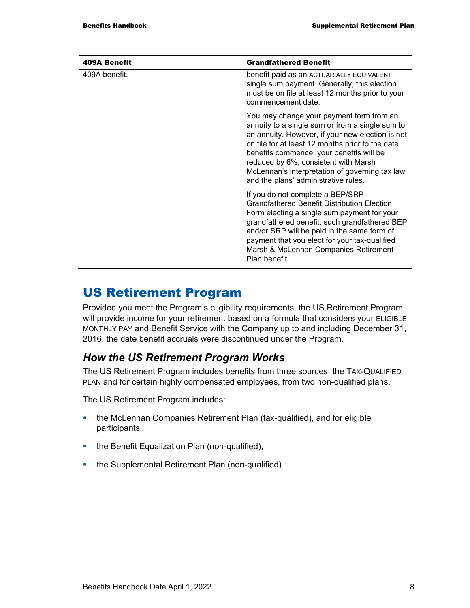| <b>409A Benefit</b> | <b>Grandfathered Benefit</b>                                                                                                                                                                                                                                                                                                                                                      |
|---------------------|-----------------------------------------------------------------------------------------------------------------------------------------------------------------------------------------------------------------------------------------------------------------------------------------------------------------------------------------------------------------------------------|
| 409A benefit.       | benefit paid as an ACTUARIALLY EQUIVALENT<br>single sum payment. Generally, this election<br>must be on file at least 12 months prior to your<br>commencement date.                                                                                                                                                                                                               |
|                     | You may change your payment form from an<br>annuity to a single sum or from a single sum to<br>an annuity. However, if your new election is not<br>on file for at least 12 months prior to the date<br>benefits commence, your benefits will be<br>reduced by 6%, consistent with Marsh<br>McLennan's interpretation of governing tax law<br>and the plans' administrative rules. |
|                     | If you do not complete a BEP/SRP<br><b>Grandfathered Benefit Distribution Election</b><br>Form electing a single sum payment for your<br>grandfathered benefit, such grandfathered BEP<br>and/or SRP will be paid in the same form of<br>payment that you elect for your tax-qualified<br>Marsh & McLennan Companies Retirement<br>Plan benefit.                                  |

### US Retirement Program

Provided you meet the Program's eligibility requirements, the US Retirement Program will provide income for your retirement based on a formula that considers your ELIGIBLE MONTHLY PAY and Benefit Service with the Company up to and including December 31, 2016, the date benefit accruals were discontinued under the Program.

### *How the US Retirement Program Works*

The US Retirement Program includes benefits from three sources: the TAX-QUALIFIED PLAN and for certain highly compensated employees, from two non-qualified plans.

The US Retirement Program includes:

- the McLennan Companies Retirement Plan (tax-qualified), and for eligible participants,
- the Benefit Equalization Plan (non-qualified),
- the Supplemental Retirement Plan (non-qualified).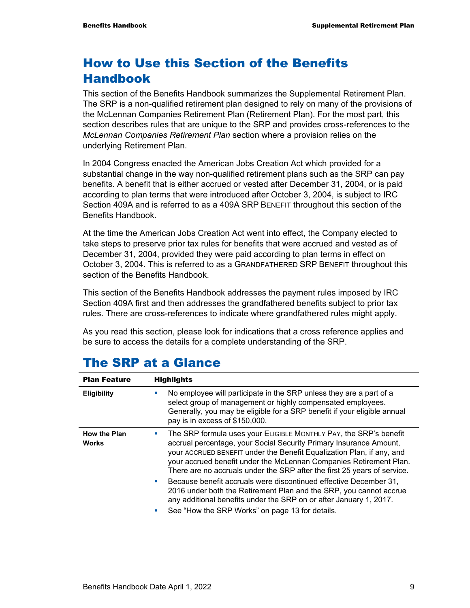# How to Use this Section of the Benefits Handbook

This section of the Benefits Handbook summarizes the Supplemental Retirement Plan. The SRP is a non-qualified retirement plan designed to rely on many of the provisions of the McLennan Companies Retirement Plan (Retirement Plan). For the most part, this section describes rules that are unique to the SRP and provides cross-references to the *McLennan Companies Retirement Plan* section where a provision relies on the underlying Retirement Plan.

In 2004 Congress enacted the American Jobs Creation Act which provided for a substantial change in the way non-qualified retirement plans such as the SRP can pay benefits. A benefit that is either accrued or vested after December 31, 2004, or is paid according to plan terms that were introduced after October 3, 2004, is subject to IRC Section 409A and is referred to as a 409A SRP BENEFIT throughout this section of the Benefits Handbook.

At the time the American Jobs Creation Act went into effect, the Company elected to take steps to preserve prior tax rules for benefits that were accrued and vested as of December 31, 2004, provided they were paid according to plan terms in effect on October 3, 2004. This is referred to as a GRANDFATHERED SRP BENEFIT throughout this section of the Benefits Handbook.

This section of the Benefits Handbook addresses the payment rules imposed by IRC Section 409A first and then addresses the grandfathered benefits subject to prior tax rules. There are cross-references to indicate where grandfathered rules might apply.

As you read this section, please look for indications that a cross reference applies and be sure to access the details for a complete understanding of the SRP.

| <b>Plan Feature</b>                 | <b>Highlights</b>                                                                                                                                                                                                                                                                                                                                                  |
|-------------------------------------|--------------------------------------------------------------------------------------------------------------------------------------------------------------------------------------------------------------------------------------------------------------------------------------------------------------------------------------------------------------------|
| <b>Eligibility</b>                  | No employee will participate in the SRP unless they are a part of a<br>$\blacksquare$<br>select group of management or highly compensated employees.<br>Generally, you may be eligible for a SRP benefit if your eligible annual<br>pay is in excess of \$150,000.                                                                                                 |
| <b>How the Plan</b><br><b>Works</b> | The SRP formula uses your ELIGIBLE MONTHLY PAY, the SRP's benefit<br>accrual percentage, your Social Security Primary Insurance Amount,<br>your ACCRUED BENEFIT under the Benefit Equalization Plan, if any, and<br>your accrued benefit under the McLennan Companies Retirement Plan.<br>There are no accruals under the SRP after the first 25 years of service. |
|                                     | Because benefit accruals were discontinued effective December 31,<br><b>Si</b><br>2016 under both the Retirement Plan and the SRP, you cannot accrue<br>any additional benefits under the SRP on or after January 1, 2017.<br>See "How the SRP Works" on page 13 for details.<br>$\mathcal{L}_{\mathcal{A}}$                                                       |

### The SRP at a Glance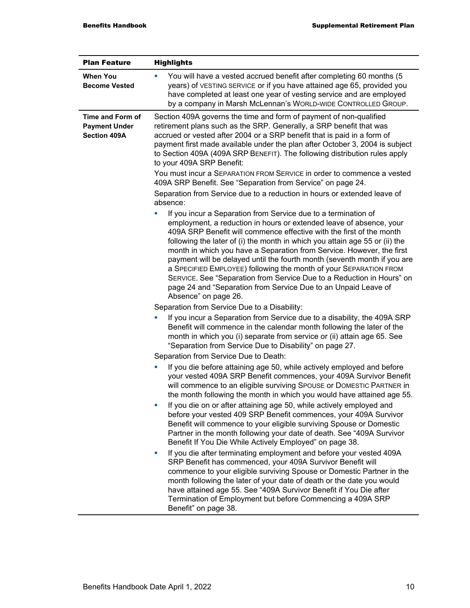| <b>Plan Feature</b>                                             | <b>Highlights</b>                                                                                                                                                                                                                                                                                                                                                                                                                                                                                                                                                                                                                                                                         |
|-----------------------------------------------------------------|-------------------------------------------------------------------------------------------------------------------------------------------------------------------------------------------------------------------------------------------------------------------------------------------------------------------------------------------------------------------------------------------------------------------------------------------------------------------------------------------------------------------------------------------------------------------------------------------------------------------------------------------------------------------------------------------|
| <b>When You</b><br><b>Become Vested</b>                         | You will have a vested accrued benefit after completing 60 months (5<br>u,<br>years) of VESTING SERVICE or if you have attained age 65, provided you<br>have completed at least one year of vesting service and are employed<br>by a company in Marsh McLennan's WORLD-WIDE CONTROLLED GROUP.                                                                                                                                                                                                                                                                                                                                                                                             |
| Time and Form of<br><b>Payment Under</b><br><b>Section 409A</b> | Section 409A governs the time and form of payment of non-qualified<br>retirement plans such as the SRP. Generally, a SRP benefit that was<br>accrued or vested after 2004 or a SRP benefit that is paid in a form of<br>payment first made available under the plan after October 3, 2004 is subject<br>to Section 409A (409A SRP BENEFIT). The following distribution rules apply<br>to your 409A SRP Benefit:                                                                                                                                                                                                                                                                           |
|                                                                 | You must incur a SEPARATION FROM SERVICE in order to commence a vested<br>409A SRP Benefit. See "Separation from Service" on page 24.                                                                                                                                                                                                                                                                                                                                                                                                                                                                                                                                                     |
|                                                                 | Separation from Service due to a reduction in hours or extended leave of<br>absence:                                                                                                                                                                                                                                                                                                                                                                                                                                                                                                                                                                                                      |
|                                                                 | If you incur a Separation from Service due to a termination of<br>employment, a reduction in hours or extended leave of absence, your<br>409A SRP Benefit will commence effective with the first of the month<br>following the later of (i) the month in which you attain age 55 or (ii) the<br>month in which you have a Separation from Service. However, the first<br>payment will be delayed until the fourth month (seventh month if you are<br>a SPECIFIED EMPLOYEE) following the month of your SEPARATION FROM<br>SERVICE. See "Separation from Service Due to a Reduction in Hours" on<br>page 24 and "Separation from Service Due to an Unpaid Leave of<br>Absence" on page 26. |
|                                                                 | Separation from Service Due to a Disability:                                                                                                                                                                                                                                                                                                                                                                                                                                                                                                                                                                                                                                              |
|                                                                 | If you incur a Separation from Service due to a disability, the 409A SRP<br>ш<br>Benefit will commence in the calendar month following the later of the<br>month in which you (i) separate from service or (ii) attain age 65. See<br>"Separation from Service Due to Disability" on page 27.                                                                                                                                                                                                                                                                                                                                                                                             |
|                                                                 | Separation from Service Due to Death:                                                                                                                                                                                                                                                                                                                                                                                                                                                                                                                                                                                                                                                     |
|                                                                 | If you die before attaining age 50, while actively employed and before<br>ш<br>your vested 409A SRP Benefit commences, your 409A Survivor Benefit<br>will commence to an eligible surviving SPOUSE or DOMESTIC PARTNER in<br>the month following the month in which you would have attained age 55.                                                                                                                                                                                                                                                                                                                                                                                       |
|                                                                 | If you die on or after attaining age 50, while actively employed and<br>L.<br>before your vested 409 SRP Benefit commences, your 409A Survivor<br>Benefit will commence to your eligible surviving Spouse or Domestic<br>Partner in the month following your date of death. See "409A Survivor<br>Benefit If You Die While Actively Employed" on page 38.                                                                                                                                                                                                                                                                                                                                 |
|                                                                 | If you die after terminating employment and before your vested 409A<br>ш<br>SRP Benefit has commenced, your 409A Survivor Benefit will<br>commence to your eligible surviving Spouse or Domestic Partner in the<br>month following the later of your date of death or the date you would<br>have attained age 55. See "409A Survivor Benefit if You Die after<br>Termination of Employment but before Commencing a 409A SRP<br>Benefit" on page 38.                                                                                                                                                                                                                                       |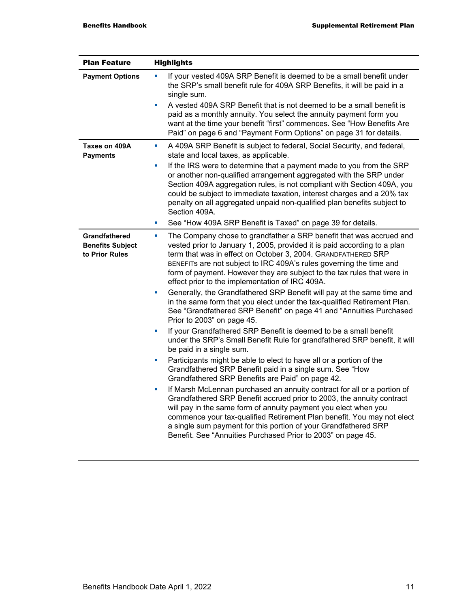| <b>Plan Feature</b>                                               | <b>Highlights</b>                                                                                                                                                                                                                                                                                                                                                                                                                       |
|-------------------------------------------------------------------|-----------------------------------------------------------------------------------------------------------------------------------------------------------------------------------------------------------------------------------------------------------------------------------------------------------------------------------------------------------------------------------------------------------------------------------------|
| <b>Payment Options</b>                                            | If your vested 409A SRP Benefit is deemed to be a small benefit under<br>u,<br>the SRP's small benefit rule for 409A SRP Benefits, it will be paid in a<br>single sum.<br>A vested 409A SRP Benefit that is not deemed to be a small benefit is<br>u,                                                                                                                                                                                   |
|                                                                   | paid as a monthly annuity. You select the annuity payment form you<br>want at the time your benefit "first" commences. See "How Benefits Are<br>Paid" on page 6 and "Payment Form Options" on page 31 for details.                                                                                                                                                                                                                      |
| Taxes on 409A<br><b>Payments</b>                                  | A 409A SRP Benefit is subject to federal, Social Security, and federal,<br>ш<br>state and local taxes, as applicable.                                                                                                                                                                                                                                                                                                                   |
|                                                                   | If the IRS were to determine that a payment made to you from the SRP<br>u,<br>or another non-qualified arrangement aggregated with the SRP under<br>Section 409A aggregation rules, is not compliant with Section 409A, you<br>could be subject to immediate taxation, interest charges and a 20% tax<br>penalty on all aggregated unpaid non-qualified plan benefits subject to<br>Section 409A.                                       |
|                                                                   | See "How 409A SRP Benefit is Taxed" on page 39 for details.<br>L.                                                                                                                                                                                                                                                                                                                                                                       |
| <b>Grandfathered</b><br><b>Benefits Subject</b><br>to Prior Rules | The Company chose to grandfather a SRP benefit that was accrued and<br>$\blacksquare$<br>vested prior to January 1, 2005, provided it is paid according to a plan<br>term that was in effect on October 3, 2004. GRANDFATHERED SRP<br>BENEFITS are not subject to IRC 409A's rules governing the time and<br>form of payment. However they are subject to the tax rules that were in<br>effect prior to the implementation of IRC 409A. |
|                                                                   | Generally, the Grandfathered SRP Benefit will pay at the same time and<br>L.<br>in the same form that you elect under the tax-qualified Retirement Plan.<br>See "Grandfathered SRP Benefit" on page 41 and "Annuities Purchased<br>Prior to 2003" on page 45.                                                                                                                                                                           |
|                                                                   | If your Grandfathered SRP Benefit is deemed to be a small benefit<br>L.<br>under the SRP's Small Benefit Rule for grandfathered SRP benefit, it will<br>be paid in a single sum.                                                                                                                                                                                                                                                        |
|                                                                   | Participants might be able to elect to have all or a portion of the<br>×<br>Grandfathered SRP Benefit paid in a single sum. See "How<br>Grandfathered SRP Benefits are Paid" on page 42.                                                                                                                                                                                                                                                |
|                                                                   | If Marsh McLennan purchased an annuity contract for all or a portion of<br>ш<br>Grandfathered SRP Benefit accrued prior to 2003, the annuity contract<br>will pay in the same form of annuity payment you elect when you<br>commence your tax-qualified Retirement Plan benefit. You may not elect<br>a single sum payment for this portion of your Grandfathered SRP<br>Benefit. See "Annuities Purchased Prior to 2003" on page 45.   |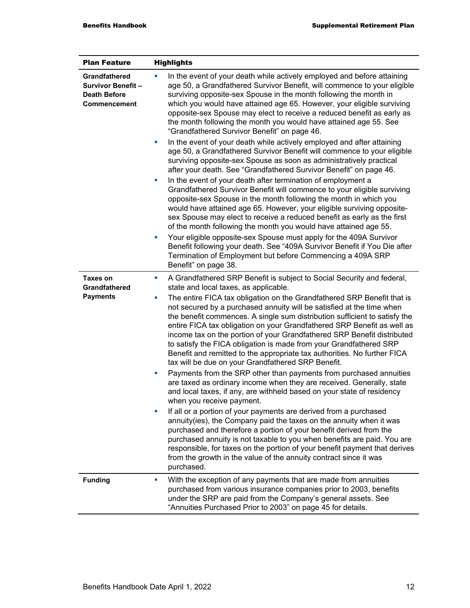| <b>Plan Feature</b>                                                                     | <b>Highlights</b>                                                                                                                                                                                                                                                                                                                                                                                                                                                                                                 |
|-----------------------------------------------------------------------------------------|-------------------------------------------------------------------------------------------------------------------------------------------------------------------------------------------------------------------------------------------------------------------------------------------------------------------------------------------------------------------------------------------------------------------------------------------------------------------------------------------------------------------|
| Grandfathered<br><b>Survivor Benefit-</b><br><b>Death Before</b><br><b>Commencement</b> | In the event of your death while actively employed and before attaining<br>age 50, a Grandfathered Survivor Benefit, will commence to your eligible<br>surviving opposite-sex Spouse in the month following the month in<br>which you would have attained age 65. However, your eligible surviving<br>opposite-sex Spouse may elect to receive a reduced benefit as early as<br>the month following the month you would have attained age 55. See<br>"Grandfathered Survivor Benefit" on page 46.                 |
|                                                                                         | In the event of your death while actively employed and after attaining<br>ш<br>age 50, a Grandfathered Survivor Benefit will commence to your eligible<br>surviving opposite-sex Spouse as soon as administratively practical<br>after your death. See "Grandfathered Survivor Benefit" on page 46.                                                                                                                                                                                                               |
|                                                                                         | In the event of your death after termination of employment a<br>Grandfathered Survivor Benefit will commence to your eligible surviving<br>opposite-sex Spouse in the month following the month in which you<br>would have attained age 65. However, your eligible surviving opposite-<br>sex Spouse may elect to receive a reduced benefit as early as the first<br>of the month following the month you would have attained age 55.                                                                             |
|                                                                                         | Your eligible opposite-sex Spouse must apply for the 409A Survivor<br>ш<br>Benefit following your death. See "409A Survivor Benefit if You Die after<br>Termination of Employment but before Commencing a 409A SRP<br>Benefit" on page 38.                                                                                                                                                                                                                                                                        |
| <b>Taxes on</b><br><b>Grandfathered</b><br><b>Payments</b>                              | A Grandfathered SRP Benefit is subject to Social Security and federal,<br>ш<br>state and local taxes, as applicable.<br>The entire FICA tax obligation on the Grandfathered SRP Benefit that is<br>ш                                                                                                                                                                                                                                                                                                              |
|                                                                                         | not secured by a purchased annuity will be satisfied at the time when<br>the benefit commences. A single sum distribution sufficient to satisfy the<br>entire FICA tax obligation on your Grandfathered SRP Benefit as well as<br>income tax on the portion of your Grandfathered SRP Benefit distributed<br>to satisfy the FICA obligation is made from your Grandfathered SRP<br>Benefit and remitted to the appropriate tax authorities. No further FICA<br>tax will be due on your Grandfathered SRP Benefit. |
|                                                                                         | Payments from the SRP other than payments from purchased annuities<br>ш<br>are taxed as ordinary income when they are received. Generally, state<br>and local taxes, if any, are withheld based on your state of residency<br>when you receive payment.                                                                                                                                                                                                                                                           |
|                                                                                         | If all or a portion of your payments are derived from a purchased<br>annuity(ies), the Company paid the taxes on the annuity when it was<br>purchased and therefore a portion of your benefit derived from the<br>purchased annuity is not taxable to you when benefits are paid. You are<br>responsible, for taxes on the portion of your benefit payment that derives<br>from the growth in the value of the annuity contract since it was<br>purchased.                                                        |
| <b>Funding</b>                                                                          | With the exception of any payments that are made from annuities<br><b>I</b><br>purchased from various insurance companies prior to 2003, benefits<br>under the SRP are paid from the Company's general assets. See<br>"Annuities Purchased Prior to 2003" on page 45 for details.                                                                                                                                                                                                                                 |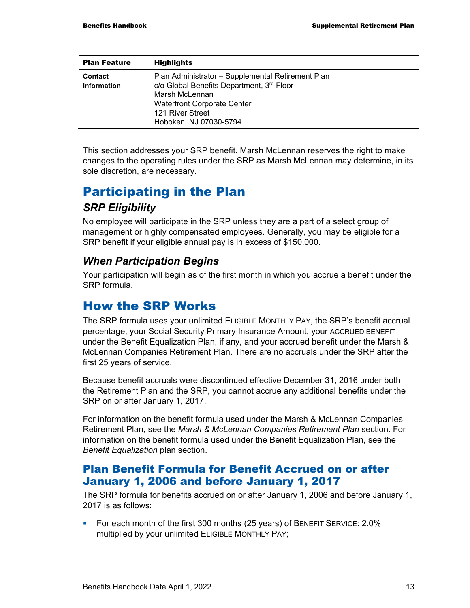| <b>Plan Feature</b>    | <b>Highlights</b>                                                                                                                                                                                    |
|------------------------|------------------------------------------------------------------------------------------------------------------------------------------------------------------------------------------------------|
| Contact<br>Information | Plan Administrator - Supplemental Retirement Plan<br>c/o Global Benefits Department, 3rd Floor<br>Marsh McLennan<br><b>Waterfront Corporate Center</b><br>121 River Street<br>Hoboken, NJ 07030-5794 |

This section addresses your SRP benefit. Marsh McLennan reserves the right to make changes to the operating rules under the SRP as Marsh McLennan may determine, in its sole discretion, are necessary.

## Participating in the Plan *SRP Eligibility*

No employee will participate in the SRP unless they are a part of a select group of management or highly compensated employees. Generally, you may be eligible for a SRP benefit if your eligible annual pay is in excess of \$150,000.

#### *When Participation Begins*

Your participation will begin as of the first month in which you accrue a benefit under the SRP formula.

### How the SRP Works

The SRP formula uses your unlimited ELIGIBLE MONTHLY PAY, the SRP's benefit accrual percentage, your Social Security Primary Insurance Amount, your ACCRUED BENEFIT under the Benefit Equalization Plan, if any, and your accrued benefit under the Marsh & McLennan Companies Retirement Plan. There are no accruals under the SRP after the first 25 years of service.

Because benefit accruals were discontinued effective December 31, 2016 under both the Retirement Plan and the SRP, you cannot accrue any additional benefits under the SRP on or after January 1, 2017.

For information on the benefit formula used under the Marsh & McLennan Companies Retirement Plan, see the *Marsh & McLennan Companies Retirement Plan* section. For information on the benefit formula used under the Benefit Equalization Plan, see the *Benefit Equalization* plan section.

#### Plan Benefit Formula for Benefit Accrued on or after January 1, 2006 and before January 1, 2017

The SRP formula for benefits accrued on or after January 1, 2006 and before January 1, 2017 is as follows:

**For each month of the first 300 months (25 years) of BENEFIT SERVICE: 2.0%** multiplied by your unlimited ELIGIBLE MONTHLY PAY;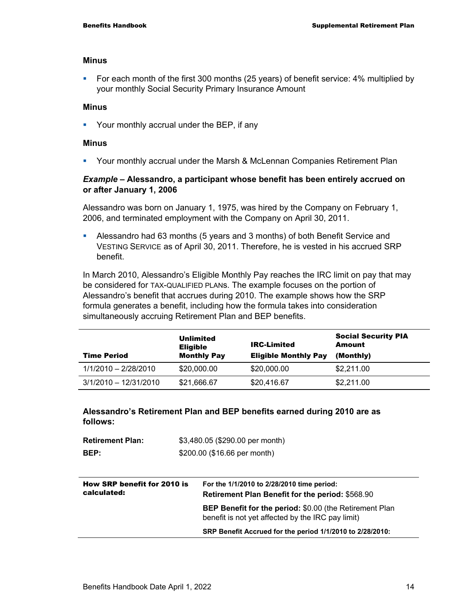#### **Minus**

For each month of the first 300 months (25 years) of benefit service: 4% multiplied by your monthly Social Security Primary Insurance Amount

#### **Minus**

**• Your monthly accrual under the BEP, if any** 

#### **Minus**

Your monthly accrual under the Marsh & McLennan Companies Retirement Plan

#### *Example –* **Alessandro, a participant whose benefit has been entirely accrued on or after January 1, 2006**

Alessandro was born on January 1, 1975, was hired by the Company on February 1, 2006, and terminated employment with the Company on April 30, 2011.

 Alessandro had 63 months (5 years and 3 months) of both Benefit Service and VESTING SERVICE as of April 30, 2011. Therefore, he is vested in his accrued SRP benefit.

In March 2010, Alessandro's Eligible Monthly Pay reaches the IRC limit on pay that may be considered for TAX-QUALIFIED PLANs. The example focuses on the portion of Alessandro's benefit that accrues during 2010. The example shows how the SRP formula generates a benefit, including how the formula takes into consideration simultaneously accruing Retirement Plan and BEP benefits.

| <b>Time Period</b>      | Unlimited<br><b>Eligible</b><br><b>Monthly Pay</b> | <b>IRC-Limited</b><br><b>Eligible Monthly Pay</b> | <b>Social Security PIA</b><br><b>Amount</b><br>(Monthly) |
|-------------------------|----------------------------------------------------|---------------------------------------------------|----------------------------------------------------------|
| 1/1/2010 - 2/28/2010    | \$20,000.00                                        | \$20,000.00                                       | \$2,211.00                                               |
| $3/1/2010 - 12/31/2010$ | \$21,666.67                                        | \$20,416.67                                       | \$2,211.00                                               |

#### **Alessandro's Retirement Plan and BEP benefits earned during 2010 are as follows:**

| <b>Retirement Plan:</b> | \$3,480.05 (\$290.00 per month) |
|-------------------------|---------------------------------|
| BEP:                    | \$200.00 (\$16.66 per month)    |

| How SRP benefit for 2010 is<br>calculated: | For the 1/1/2010 to 2/28/2010 time period:<br><b>Retirement Plan Benefit for the period: \$568.90</b>               |  |
|--------------------------------------------|---------------------------------------------------------------------------------------------------------------------|--|
|                                            | <b>BEP Benefit for the period: \$0.00 (the Retirement Plan</b><br>benefit is not yet affected by the IRC pay limit) |  |
|                                            | SRP Benefit Accrued for the period 1/1/2010 to 2/28/2010:                                                           |  |
|                                            |                                                                                                                     |  |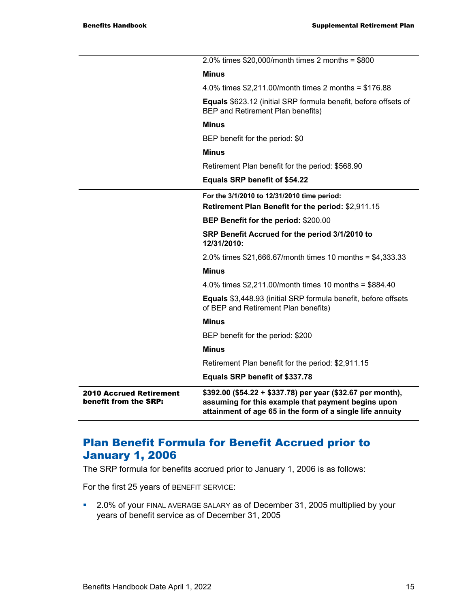| <b>2010 Accrued Retirement</b><br>benefit from the SRP: | $$392.00$ (\$54.22 + \$337.78) per year (\$32.67 per month),<br>assuming for this example that payment begins upon<br>attainment of age 65 in the form of a single life annuity |
|---------------------------------------------------------|---------------------------------------------------------------------------------------------------------------------------------------------------------------------------------|
|                                                         | Equals SRP benefit of \$337.78                                                                                                                                                  |
|                                                         | Retirement Plan benefit for the period: \$2,911.15                                                                                                                              |
|                                                         | <b>Minus</b>                                                                                                                                                                    |
|                                                         | BEP benefit for the period: \$200                                                                                                                                               |
|                                                         | <b>Minus</b>                                                                                                                                                                    |
|                                                         | Equals \$3,448.93 (initial SRP formula benefit, before offsets<br>of BEP and Retirement Plan benefits)                                                                          |
|                                                         | 4.0% times \$2,211.00/month times 10 months = \$884.40                                                                                                                          |
|                                                         | <b>Minus</b>                                                                                                                                                                    |
|                                                         | 2.0% times $$21,666.67/m$ on th times 10 months = $$4,333.33$                                                                                                                   |
|                                                         | SRP Benefit Accrued for the period 3/1/2010 to<br>12/31/2010:                                                                                                                   |
|                                                         | BEP Benefit for the period: \$200.00                                                                                                                                            |
|                                                         | For the 3/1/2010 to 12/31/2010 time period:<br>Retirement Plan Benefit for the period: \$2,911.15                                                                               |
|                                                         | Equals SRP benefit of \$54.22                                                                                                                                                   |
|                                                         | Retirement Plan benefit for the period: \$568.90                                                                                                                                |
|                                                         | <b>Minus</b>                                                                                                                                                                    |
|                                                         | BEP benefit for the period: \$0                                                                                                                                                 |
|                                                         | <b>Minus</b>                                                                                                                                                                    |
|                                                         | <b>Equals</b> \$623.12 (initial SRP formula benefit, before offsets of<br>BEP and Retirement Plan benefits)                                                                     |
|                                                         | 4.0% times $$2,211.00/m$ onth times 2 months = $$176.88$                                                                                                                        |
|                                                         | <b>Minus</b>                                                                                                                                                                    |
|                                                         | 2.0% times $$20,000/m$ onth times 2 months = $$800$                                                                                                                             |

### Plan Benefit Formula for Benefit Accrued prior to January 1, 2006

The SRP formula for benefits accrued prior to January 1, 2006 is as follows:

For the first 25 years of BENEFIT SERVICE:

 2.0% of your FINAL AVERAGE SALARY as of December 31, 2005 multiplied by your years of benefit service as of December 31, 2005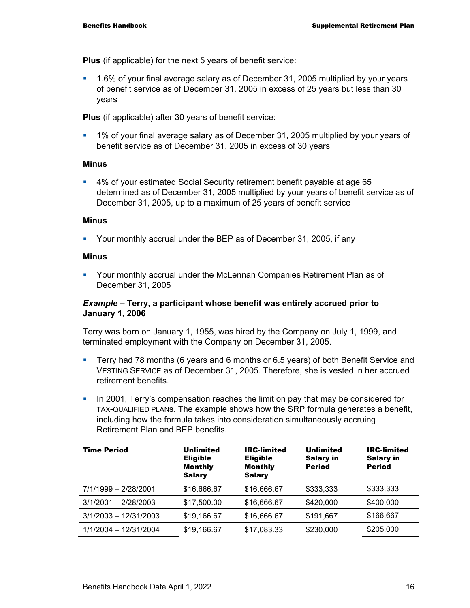**Plus** (if applicable) for the next 5 years of benefit service:

 1.6% of your final average salary as of December 31, 2005 multiplied by your years of benefit service as of December 31, 2005 in excess of 25 years but less than 30 years

**Plus** (if applicable) after 30 years of benefit service:

 1% of your final average salary as of December 31, 2005 multiplied by your years of benefit service as of December 31, 2005 in excess of 30 years

#### **Minus**

 4% of your estimated Social Security retirement benefit payable at age 65 determined as of December 31, 2005 multiplied by your years of benefit service as of December 31, 2005, up to a maximum of 25 years of benefit service

#### **Minus**

Your monthly accrual under the BEP as of December 31, 2005, if any

#### **Minus**

 Your monthly accrual under the McLennan Companies Retirement Plan as of December 31, 2005

#### *Example –* **Terry, a participant whose benefit was entirely accrued prior to January 1, 2006**

Terry was born on January 1, 1955, was hired by the Company on July 1, 1999, and terminated employment with the Company on December 31, 2005.

- Terry had 78 months (6 years and 6 months or 6.5 years) of both Benefit Service and VESTING SERVICE as of December 31, 2005. Therefore, she is vested in her accrued retirement benefits.
- In 2001, Terry's compensation reaches the limit on pay that may be considered for TAX-QUALIFIED PLANs. The example shows how the SRP formula generates a benefit, including how the formula takes into consideration simultaneously accruing Retirement Plan and BEP benefits.

| <b>Time Period</b>      | Unlimited<br><b>Eligible</b><br><b>Monthly</b><br><b>Salary</b> | IRC-limited<br><b>Eligible</b><br><b>Monthly</b><br><b>Salary</b> | Unlimited<br><b>Salary in</b><br><b>Period</b> | <b>IRC-limited</b><br><b>Salary in</b><br><b>Period</b> |
|-------------------------|-----------------------------------------------------------------|-------------------------------------------------------------------|------------------------------------------------|---------------------------------------------------------|
| 7/1/1999 - 2/28/2001    | \$16,666.67                                                     | \$16,666.67                                                       | \$333,333                                      | \$333,333                                               |
| $3/1/2001 - 2/28/2003$  | \$17,500.00                                                     | \$16,666.67                                                       | \$420,000                                      | \$400,000                                               |
| $3/1/2003 - 12/31/2003$ | \$19,166.67                                                     | \$16,666.67                                                       | \$191,667                                      | \$166,667                                               |
| 1/1/2004 - 12/31/2004   | \$19,166.67                                                     | \$17,083.33                                                       | \$230,000                                      | \$205,000                                               |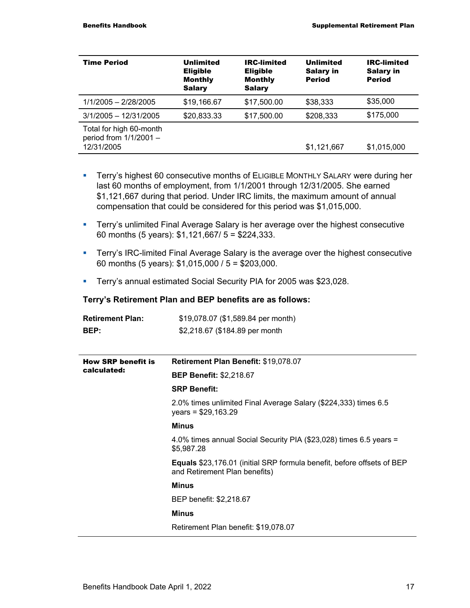| <b>Time Period</b>                                                | Unlimited<br><b>Eligible</b><br><b>Monthly</b><br><b>Salary</b> | <b>IRC-limited</b><br><b>Eligible</b><br><b>Monthly</b><br><b>Salary</b> | <b>Unlimited</b><br><b>Salary in</b><br><b>Period</b> | <b>IRC-limited</b><br><b>Salary in</b><br><b>Period</b> |
|-------------------------------------------------------------------|-----------------------------------------------------------------|--------------------------------------------------------------------------|-------------------------------------------------------|---------------------------------------------------------|
| 1/1/2005 - 2/28/2005                                              | \$19,166.67                                                     | \$17,500.00                                                              | \$38,333                                              | \$35,000                                                |
| $3/1/2005 - 12/31/2005$                                           | \$20,833.33                                                     | \$17,500.00                                                              | \$208,333                                             | \$175,000                                               |
| Total for high 60-month<br>period from $1/1/2001 -$<br>12/31/2005 |                                                                 |                                                                          | \$1,121,667                                           | \$1,015,000                                             |

- **Terry's highest 60 consecutive months of ELIGIBLE MONTHLY SALARY were during her** last 60 months of employment, from 1/1/2001 through 12/31/2005. She earned \$1,121,667 during that period. Under IRC limits, the maximum amount of annual compensation that could be considered for this period was \$1,015,000.
- **Terry's unlimited Final Average Salary is her average over the highest consecutive** 60 months (5 years): \$1,121,667/ 5 = \$224,333.
- **Terry's IRC-limited Final Average Salary is the average over the highest consecutive** 60 months (5 years): \$1,015,000 / 5 = \$203,000.
- **Terry's annual estimated Social Security PIA for 2005 was \$23,028.**

#### **Terry's Retirement Plan and BEP benefits are as follows:**

| <b>Retirement Plan:</b>   | \$19,078.07 (\$1,589.84 per month)                                                                             |  |  |  |
|---------------------------|----------------------------------------------------------------------------------------------------------------|--|--|--|
| BEP:                      | \$2,218.67 (\$184.89 per month                                                                                 |  |  |  |
|                           |                                                                                                                |  |  |  |
| <b>How SRP benefit is</b> | Retirement Plan Benefit: \$19,078.07                                                                           |  |  |  |
| calculated:               | <b>BEP Benefit: \$2,218.67</b>                                                                                 |  |  |  |
|                           | <b>SRP Benefit:</b>                                                                                            |  |  |  |
|                           | 2.0% times unlimited Final Average Salary (\$224,333) times 6.5<br>years = $$29,163.29$                        |  |  |  |
|                           | <b>Minus</b>                                                                                                   |  |  |  |
|                           | 4.0% times annual Social Security PIA (\$23,028) times 6.5 years =<br>\$5,987.28                               |  |  |  |
|                           | <b>Equals</b> \$23,176.01 (initial SRP formula benefit, before offsets of BEP<br>and Retirement Plan benefits) |  |  |  |
|                           | Minus                                                                                                          |  |  |  |
|                           | BEP benefit: \$2,218.67                                                                                        |  |  |  |
|                           | Minus                                                                                                          |  |  |  |
|                           | Retirement Plan benefit: \$19,078.07                                                                           |  |  |  |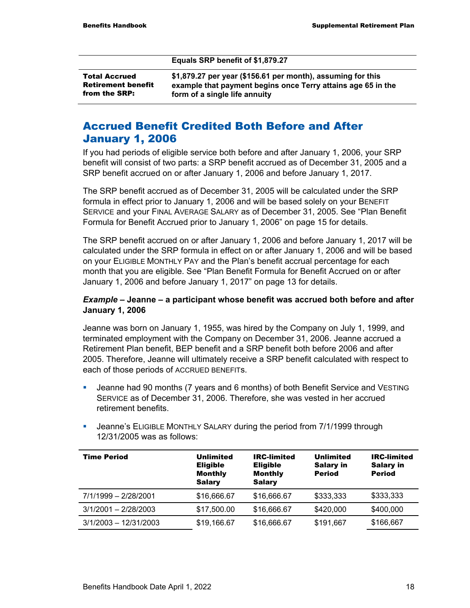#### **Equals SRP benefit of \$1,879.27**

| <b>Total Accrued</b>      | \$1,1 |
|---------------------------|-------|
| <b>Retirement benefit</b> | exa   |
| from the SRP:             | forı  |

**\$1,879.27 per year (\$156.61 per month), assuming for this example that payment begins once Terry attains age 65 in the form of a single life annuity** 

### Accrued Benefit Credited Both Before and After January 1, 2006

If you had periods of eligible service both before and after January 1, 2006, your SRP benefit will consist of two parts: a SRP benefit accrued as of December 31, 2005 and a SRP benefit accrued on or after January 1, 2006 and before January 1, 2017.

The SRP benefit accrued as of December 31, 2005 will be calculated under the SRP formula in effect prior to January 1, 2006 and will be based solely on your BENEFIT SERVICE and your FINAL AVERAGE SALARY as of December 31, 2005. See "Plan Benefit Formula for Benefit Accrued prior to January 1, 2006" on page 15 for details.

The SRP benefit accrued on or after January 1, 2006 and before January 1, 2017 will be calculated under the SRP formula in effect on or after January 1, 2006 and will be based on your ELIGIBLE MONTHLY PAY and the Plan's benefit accrual percentage for each month that you are eligible. See "Plan Benefit Formula for Benefit Accrued on or after January 1, 2006 and before January 1, 2017" on page 13 for details.

#### *Example –* **Jeanne – a participant whose benefit was accrued both before and after January 1, 2006**

Jeanne was born on January 1, 1955, was hired by the Company on July 1, 1999, and terminated employment with the Company on December 31, 2006. Jeanne accrued a Retirement Plan benefit, BEP benefit and a SRP benefit both before 2006 and after 2005. Therefore, Jeanne will ultimately receive a SRP benefit calculated with respect to each of those periods of ACCRUED BENEFITs.

- Jeanne had 90 months (7 years and 6 months) of both Benefit Service and VESTING SERVICE as of December 31, 2006. Therefore, she was vested in her accrued retirement benefits.
- **Jeanne's ELIGIBLE MONTHLY SALARY during the period from 7/1/1999 through** 12/31/2005 was as follows:

| <b>Time Period</b>      | <b>Unlimited</b><br><b>Eligible</b><br><b>Monthly</b><br><b>Salary</b> | <b>IRC-limited</b><br><b>Eligible</b><br><b>Monthly</b><br><b>Salary</b> | <b>Unlimited</b><br><b>Salary in</b><br><b>Period</b> | <b>IRC-limited</b><br><b>Salary in</b><br><b>Period</b> |
|-------------------------|------------------------------------------------------------------------|--------------------------------------------------------------------------|-------------------------------------------------------|---------------------------------------------------------|
| 7/1/1999 - 2/28/2001    | \$16,666.67                                                            | \$16,666.67                                                              | \$333,333                                             | \$333,333                                               |
| $3/1/2001 - 2/28/2003$  | \$17,500.00                                                            | \$16,666.67                                                              | \$420,000                                             | \$400,000                                               |
| $3/1/2003 - 12/31/2003$ | \$19,166.67                                                            | \$16,666.67                                                              | \$191,667                                             | \$166,667                                               |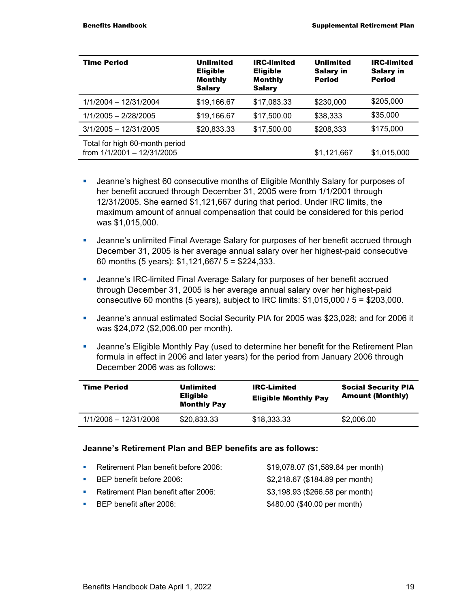| <b>Time Period</b>                                           | Unlimited<br><b>Eligible</b><br><b>Monthly</b><br><b>Salary</b> | <b>IRC-limited</b><br><b>Eligible</b><br><b>Monthly</b><br><b>Salary</b> | <b>Unlimited</b><br><b>Salary in</b><br><b>Period</b> | <b>IRC-limited</b><br><b>Salary in</b><br><b>Period</b> |
|--------------------------------------------------------------|-----------------------------------------------------------------|--------------------------------------------------------------------------|-------------------------------------------------------|---------------------------------------------------------|
| 1/1/2004 - 12/31/2004                                        | \$19,166.67                                                     | \$17,083.33                                                              | \$230,000                                             | \$205,000                                               |
| 1/1/2005 - 2/28/2005                                         | \$19,166.67                                                     | \$17,500.00                                                              | \$38,333                                              | \$35,000                                                |
| $3/1/2005 - 12/31/2005$                                      | \$20,833.33                                                     | \$17,500.00                                                              | \$208,333                                             | \$175,000                                               |
| Total for high 60-month period<br>from 1/1/2001 - 12/31/2005 |                                                                 |                                                                          | \$1,121,667                                           | \$1,015,000                                             |

- Jeanne's highest 60 consecutive months of Eligible Monthly Salary for purposes of her benefit accrued through December 31, 2005 were from 1/1/2001 through 12/31/2005. She earned \$1,121,667 during that period. Under IRC limits, the maximum amount of annual compensation that could be considered for this period was \$1,015,000.
- Jeanne's unlimited Final Average Salary for purposes of her benefit accrued through December 31, 2005 is her average annual salary over her highest-paid consecutive 60 months (5 years): \$1,121,667/ 5 = \$224,333.
- Jeanne's IRC-limited Final Average Salary for purposes of her benefit accrued through December 31, 2005 is her average annual salary over her highest-paid consecutive 60 months (5 years), subject to IRC limits:  $$1,015,000 / 5 = $203,000$ .
- Jeanne's annual estimated Social Security PIA for 2005 was \$23,028; and for 2006 it was \$24,072 (\$2,006.00 per month).
- Jeanne's Eligible Monthly Pay (used to determine her benefit for the Retirement Plan formula in effect in 2006 and later years) for the period from January 2006 through December 2006 was as follows:

| <b>Time Period</b>    | Unlimited<br><b>Eligible</b><br><b>Monthly Pay</b> | <b>IRC-Limited</b><br><b>Eligible Monthly Pay</b> | <b>Social Security PIA</b><br><b>Amount (Monthly)</b> |
|-----------------------|----------------------------------------------------|---------------------------------------------------|-------------------------------------------------------|
| 1/1/2006 - 12/31/2006 | \$20,833.33                                        | \$18,333.33                                       | \$2,006.00                                            |

#### **Jeanne's Retirement Plan and BEP benefits are as follows:**

- Retirement Plan benefit before 2006: \$19,078.07 (\$1,589.84 per month)
- 
- Retirement Plan benefit after 2006: \$3,198.93 (\$266.58 per month)
- 

**BEP benefit before 2006:** \$2,218.67 (\$184.89 per month) BEP benefit after 2006:  $$480.00$  (\$40.00 per month)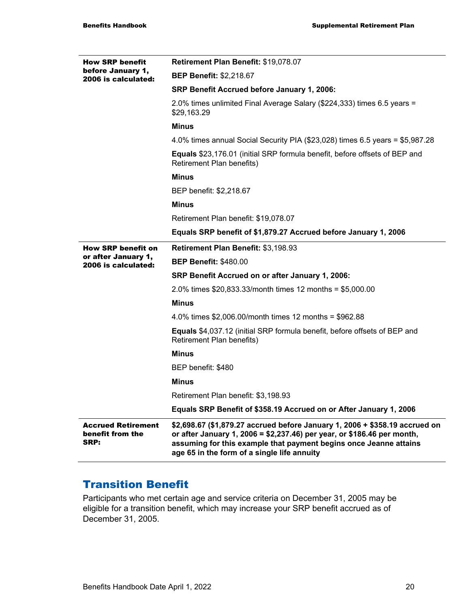| <b>How SRP benefit</b>                                | Retirement Plan Benefit: \$19,078.07                                                                                                                                                                                                                                       |
|-------------------------------------------------------|----------------------------------------------------------------------------------------------------------------------------------------------------------------------------------------------------------------------------------------------------------------------------|
| before January 1,<br>2006 is calculated:              | <b>BEP Benefit: \$2,218.67</b>                                                                                                                                                                                                                                             |
|                                                       | SRP Benefit Accrued before January 1, 2006:                                                                                                                                                                                                                                |
|                                                       | 2.0% times unlimited Final Average Salary (\$224,333) times 6.5 years =<br>\$29,163.29                                                                                                                                                                                     |
|                                                       | <b>Minus</b>                                                                                                                                                                                                                                                               |
|                                                       | 4.0% times annual Social Security PIA (\$23,028) times 6.5 years = \$5,987.28                                                                                                                                                                                              |
|                                                       | <b>Equals</b> \$23,176.01 (initial SRP formula benefit, before offsets of BEP and<br>Retirement Plan benefits)                                                                                                                                                             |
|                                                       | <b>Minus</b>                                                                                                                                                                                                                                                               |
|                                                       | BEP benefit: \$2,218.67                                                                                                                                                                                                                                                    |
|                                                       | <b>Minus</b>                                                                                                                                                                                                                                                               |
|                                                       | Retirement Plan benefit: \$19,078.07                                                                                                                                                                                                                                       |
|                                                       | Equals SRP benefit of \$1,879.27 Accrued before January 1, 2006                                                                                                                                                                                                            |
| <b>How SRP benefit on</b>                             | Retirement Plan Benefit: \$3,198.93                                                                                                                                                                                                                                        |
| or after January 1,<br>2006 is calculated:            | <b>BEP Benefit: \$480.00</b>                                                                                                                                                                                                                                               |
|                                                       | SRP Benefit Accrued on or after January 1, 2006:                                                                                                                                                                                                                           |
|                                                       | 2.0% times $$20,833.33/m$ on the times 12 months = $$5,000.00$                                                                                                                                                                                                             |
|                                                       | <b>Minus</b>                                                                                                                                                                                                                                                               |
|                                                       | 4.0% times $$2,006.00/m$ onth times 12 months = $$962.88$                                                                                                                                                                                                                  |
|                                                       | <b>Equals</b> \$4,037.12 (initial SRP formula benefit, before offsets of BEP and<br>Retirement Plan benefits)                                                                                                                                                              |
|                                                       | <b>Minus</b>                                                                                                                                                                                                                                                               |
|                                                       | BEP benefit: \$480                                                                                                                                                                                                                                                         |
|                                                       | <b>Minus</b>                                                                                                                                                                                                                                                               |
|                                                       | Retirement Plan benefit: \$3,198.93                                                                                                                                                                                                                                        |
|                                                       | Equals SRP Benefit of \$358.19 Accrued on or After January 1, 2006                                                                                                                                                                                                         |
| <b>Accrued Retirement</b><br>benefit from the<br>SRP: | \$2,698.67 (\$1,879.27 accrued before January 1, 2006 + \$358.19 accrued on<br>or after January 1, 2006 = \$2,237.46) per year, or \$186.46 per month,<br>assuming for this example that payment begins once Jeanne attains<br>age 65 in the form of a single life annuity |

### Transition Benefit

Participants who met certain age and service criteria on December 31, 2005 may be eligible for a transition benefit, which may increase your SRP benefit accrued as of December 31, 2005.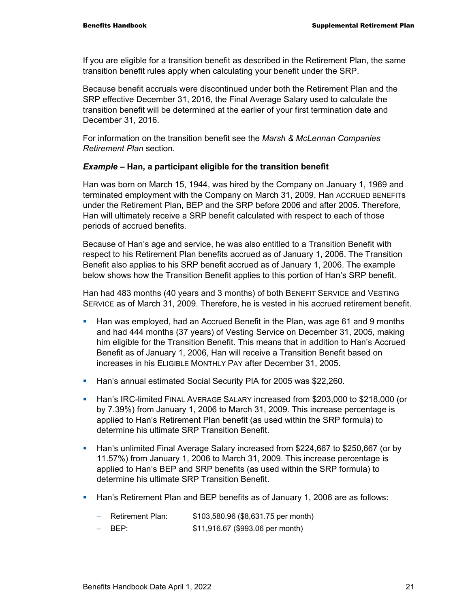If you are eligible for a transition benefit as described in the Retirement Plan, the same transition benefit rules apply when calculating your benefit under the SRP.

Because benefit accruals were discontinued under both the Retirement Plan and the SRP effective December 31, 2016, the Final Average Salary used to calculate the transition benefit will be determined at the earlier of your first termination date and December 31, 2016.

For information on the transition benefit see the *Marsh & McLennan Companies Retirement Plan* section.

#### *Example* **– Han, a participant eligible for the transition benefit**

Han was born on March 15, 1944, was hired by the Company on January 1, 1969 and terminated employment with the Company on March 31, 2009. Han ACCRUED BENEFITs under the Retirement Plan, BEP and the SRP before 2006 and after 2005. Therefore, Han will ultimately receive a SRP benefit calculated with respect to each of those periods of accrued benefits.

Because of Han's age and service, he was also entitled to a Transition Benefit with respect to his Retirement Plan benefits accrued as of January 1, 2006. The Transition Benefit also applies to his SRP benefit accrued as of January 1, 2006. The example below shows how the Transition Benefit applies to this portion of Han's SRP benefit.

Han had 483 months (40 years and 3 months) of both BENEFIT SERVICE and VESTING SERVICE as of March 31, 2009. Therefore, he is vested in his accrued retirement benefit.

- Han was employed, had an Accrued Benefit in the Plan, was age 61 and 9 months and had 444 months (37 years) of Vesting Service on December 31, 2005, making him eligible for the Transition Benefit. This means that in addition to Han's Accrued Benefit as of January 1, 2006, Han will receive a Transition Benefit based on increases in his ELIGIBLE MONTHLY PAY after December 31, 2005.
- **Han's annual estimated Social Security PIA for 2005 was \$22,260.**
- Han's IRC-limited FINAL AVERAGE SALARY increased from \$203,000 to \$218,000 (or by 7.39%) from January 1, 2006 to March 31, 2009. This increase percentage is applied to Han's Retirement Plan benefit (as used within the SRP formula) to determine his ultimate SRP Transition Benefit.
- Han's unlimited Final Average Salary increased from \$224,667 to \$250,667 (or by 11.57%) from January 1, 2006 to March 31, 2009. This increase percentage is applied to Han's BEP and SRP benefits (as used within the SRP formula) to determine his ultimate SRP Transition Benefit.
- **Han's Retirement Plan and BEP benefits as of January 1, 2006 are as follows:** 
	- − Retirement Plan: \$103,580.96 (\$8,631.75 per month)
	- − BEP: \$11,916.67 (\$993.06 per month)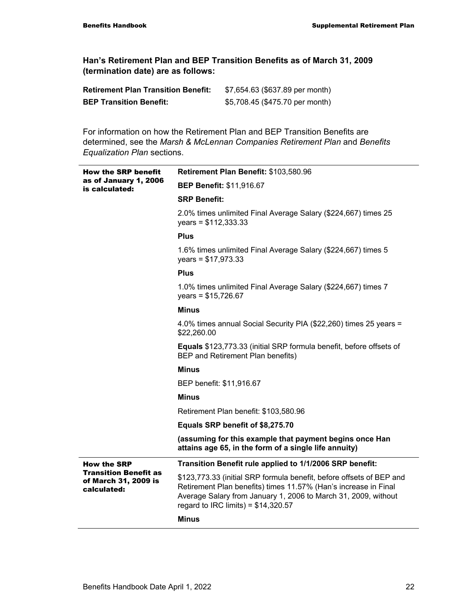**Han's Retirement Plan and BEP Transition Benefits as of March 31, 2009 (termination date) are as follows:** 

| <b>Retirement Plan Transition Benefit:</b> | \$7,654.63 (\$637.89 per month) |
|--------------------------------------------|---------------------------------|
| <b>BEP Transition Benefit:</b>             | \$5,708.45 (\$475.70 per month) |

For information on how the Retirement Plan and BEP Transition Benefits are determined, see the *Marsh & McLennan Companies Retirement Plan* and *Benefits Equalization Plan* sections.

| <b>How the SRP benefit</b>                                          | Retirement Plan Benefit: \$103,580.96                                                                                                                                                                                                             |  |  |
|---------------------------------------------------------------------|---------------------------------------------------------------------------------------------------------------------------------------------------------------------------------------------------------------------------------------------------|--|--|
| as of January 1, 2006<br>is calculated:                             | <b>BEP Benefit: \$11,916.67</b>                                                                                                                                                                                                                   |  |  |
|                                                                     | <b>SRP Benefit:</b>                                                                                                                                                                                                                               |  |  |
|                                                                     | 2.0% times unlimited Final Average Salary (\$224,667) times 25<br>years = $$112,333.33$                                                                                                                                                           |  |  |
|                                                                     | <b>Plus</b>                                                                                                                                                                                                                                       |  |  |
|                                                                     | 1.6% times unlimited Final Average Salary (\$224,667) times 5<br>years = $$17,973.33$                                                                                                                                                             |  |  |
|                                                                     | <b>Plus</b>                                                                                                                                                                                                                                       |  |  |
|                                                                     | 1.0% times unlimited Final Average Salary (\$224,667) times 7<br>years = $$15,726.67$                                                                                                                                                             |  |  |
|                                                                     | <b>Minus</b>                                                                                                                                                                                                                                      |  |  |
|                                                                     | 4.0% times annual Social Security PIA (\$22,260) times 25 years =<br>\$22,260.00                                                                                                                                                                  |  |  |
|                                                                     | Equals \$123,773.33 (initial SRP formula benefit, before offsets of<br>BEP and Retirement Plan benefits)                                                                                                                                          |  |  |
|                                                                     | <b>Minus</b>                                                                                                                                                                                                                                      |  |  |
|                                                                     | BEP benefit: \$11,916.67                                                                                                                                                                                                                          |  |  |
|                                                                     | <b>Minus</b>                                                                                                                                                                                                                                      |  |  |
|                                                                     | Retirement Plan benefit: \$103,580.96                                                                                                                                                                                                             |  |  |
|                                                                     | Equals SRP benefit of \$8,275.70                                                                                                                                                                                                                  |  |  |
|                                                                     | (assuming for this example that payment begins once Han<br>attains age 65, in the form of a single life annuity)                                                                                                                                  |  |  |
| <b>How the SRP</b>                                                  | Transition Benefit rule applied to 1/1/2006 SRP benefit:                                                                                                                                                                                          |  |  |
| <b>Transition Benefit as</b><br>of March 31, 2009 is<br>calculated: | \$123,773.33 (initial SRP formula benefit, before offsets of BEP and<br>Retirement Plan benefits) times 11.57% (Han's increase in Final<br>Average Salary from January 1, 2006 to March 31, 2009, without<br>regard to IRC limits) = $$14,320.57$ |  |  |
|                                                                     | <b>Minus</b>                                                                                                                                                                                                                                      |  |  |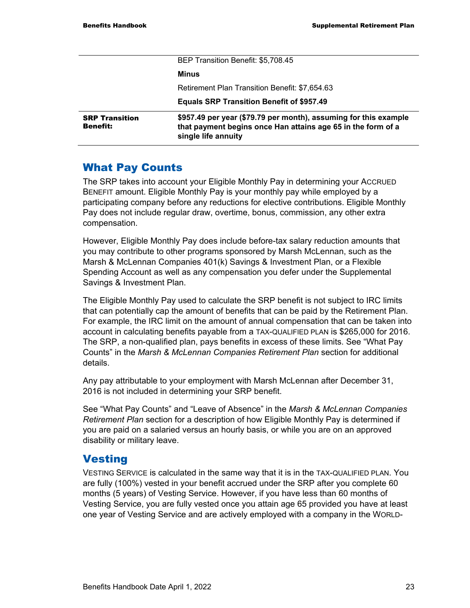|                                          | BEP Transition Benefit: \$5,708.45                                                                                                                      |  |
|------------------------------------------|---------------------------------------------------------------------------------------------------------------------------------------------------------|--|
|                                          | Minus                                                                                                                                                   |  |
|                                          | Retirement Plan Transition Benefit: \$7,654.63                                                                                                          |  |
|                                          | <b>Equals SRP Transition Benefit of \$957.49</b>                                                                                                        |  |
| <b>SRP Transition</b><br><b>Benefit:</b> | \$957.49 per year (\$79.79 per month), assuming for this example<br>that payment begins once Han attains age 65 in the form of a<br>single life annuity |  |

#### What Pay Counts

The SRP takes into account your Eligible Monthly Pay in determining your ACCRUED BENEFIT amount. Eligible Monthly Pay is your monthly pay while employed by a participating company before any reductions for elective contributions. Eligible Monthly Pay does not include regular draw, overtime, bonus, commission, any other extra compensation.

However, Eligible Monthly Pay does include before-tax salary reduction amounts that you may contribute to other programs sponsored by Marsh McLennan, such as the Marsh & McLennan Companies 401(k) Savings & Investment Plan, or a Flexible Spending Account as well as any compensation you defer under the Supplemental Savings & Investment Plan.

The Eligible Monthly Pay used to calculate the SRP benefit is not subject to IRC limits that can potentially cap the amount of benefits that can be paid by the Retirement Plan. For example, the IRC limit on the amount of annual compensation that can be taken into account in calculating benefits payable from a TAX-QUALIFIED PLAN is \$265,000 for 2016. The SRP, a non-qualified plan, pays benefits in excess of these limits. See "What Pay Counts" in the *Marsh & McLennan Companies Retirement Plan* section for additional details.

Any pay attributable to your employment with Marsh McLennan after December 31, 2016 is not included in determining your SRP benefit.

See "What Pay Counts" and "Leave of Absence" in the *Marsh & McLennan Companies Retirement Plan* section for a description of how Eligible Monthly Pay is determined if you are paid on a salaried versus an hourly basis, or while you are on an approved disability or military leave.

#### **Vesting**

VESTING SERVICE is calculated in the same way that it is in the TAX-QUALIFIED PLAN. You are fully (100%) vested in your benefit accrued under the SRP after you complete 60 months (5 years) of Vesting Service. However, if you have less than 60 months of Vesting Service, you are fully vested once you attain age 65 provided you have at least one year of Vesting Service and are actively employed with a company in the WORLD-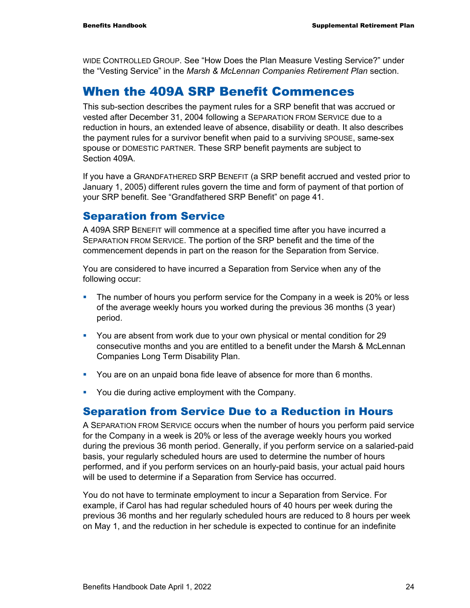WIDE CONTROLLED GROUP. See "How Does the Plan Measure Vesting Service?" under the "Vesting Service" in the *Marsh & McLennan Companies Retirement Plan* section.

### When the 409A SRP Benefit Commences

This sub-section describes the payment rules for a SRP benefit that was accrued or vested after December 31, 2004 following a SEPARATION FROM SERVICE due to a reduction in hours, an extended leave of absence, disability or death. It also describes the payment rules for a survivor benefit when paid to a surviving SPOUSE, same-sex spouse or DOMESTIC PARTNER. These SRP benefit payments are subject to Section 409A

If you have a GRANDFATHERED SRP BENEFIT (a SRP benefit accrued and vested prior to January 1, 2005) different rules govern the time and form of payment of that portion of your SRP benefit. See "Grandfathered SRP Benefit" on page 41.

#### Separation from Service

A 409A SRP BENEFIT will commence at a specified time after you have incurred a SEPARATION FROM SERVICE. The portion of the SRP benefit and the time of the commencement depends in part on the reason for the Separation from Service.

You are considered to have incurred a Separation from Service when any of the following occur:

- The number of hours you perform service for the Company in a week is 20% or less of the average weekly hours you worked during the previous 36 months (3 year) period.
- You are absent from work due to your own physical or mental condition for 29 consecutive months and you are entitled to a benefit under the Marsh & McLennan Companies Long Term Disability Plan.
- You are on an unpaid bona fide leave of absence for more than 6 months.
- **You die during active employment with the Company.**

#### Separation from Service Due to a Reduction in Hours

A SEPARATION FROM SERVICE occurs when the number of hours you perform paid service for the Company in a week is 20% or less of the average weekly hours you worked during the previous 36 month period. Generally, if you perform service on a salaried-paid basis, your regularly scheduled hours are used to determine the number of hours performed, and if you perform services on an hourly-paid basis, your actual paid hours will be used to determine if a Separation from Service has occurred.

You do not have to terminate employment to incur a Separation from Service. For example, if Carol has had regular scheduled hours of 40 hours per week during the previous 36 months and her regularly scheduled hours are reduced to 8 hours per week on May 1, and the reduction in her schedule is expected to continue for an indefinite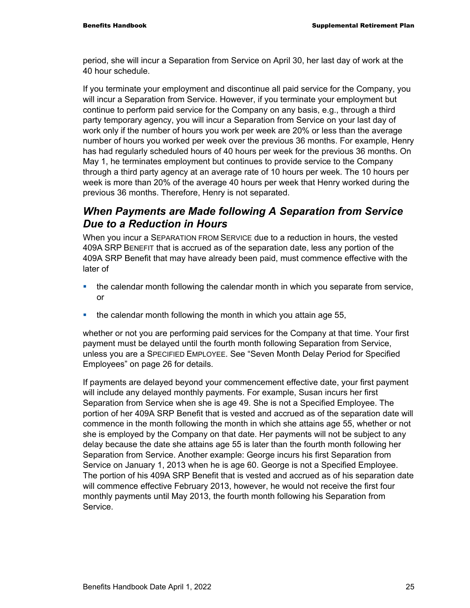period, she will incur a Separation from Service on April 30, her last day of work at the 40 hour schedule.

If you terminate your employment and discontinue all paid service for the Company, you will incur a Separation from Service. However, if you terminate your employment but continue to perform paid service for the Company on any basis, e.g., through a third party temporary agency, you will incur a Separation from Service on your last day of work only if the number of hours you work per week are 20% or less than the average number of hours you worked per week over the previous 36 months. For example, Henry has had regularly scheduled hours of 40 hours per week for the previous 36 months. On May 1, he terminates employment but continues to provide service to the Company through a third party agency at an average rate of 10 hours per week. The 10 hours per week is more than 20% of the average 40 hours per week that Henry worked during the previous 36 months. Therefore, Henry is not separated.

#### *When Payments are Made following A Separation from Service Due to a Reduction in Hours*

When you incur a SEPARATION FROM SERVICE due to a reduction in hours, the vested 409A SRP BENEFIT that is accrued as of the separation date, less any portion of the 409A SRP Benefit that may have already been paid, must commence effective with the later of

- the calendar month following the calendar month in which you separate from service, or
- the calendar month following the month in which you attain age 55,

whether or not you are performing paid services for the Company at that time. Your first payment must be delayed until the fourth month following Separation from Service, unless you are a SPECIFIED EMPLOYEE. See "Seven Month Delay Period for Specified Employees" on page 26 for details.

If payments are delayed beyond your commencement effective date, your first payment will include any delayed monthly payments. For example, Susan incurs her first Separation from Service when she is age 49. She is not a Specified Employee. The portion of her 409A SRP Benefit that is vested and accrued as of the separation date will commence in the month following the month in which she attains age 55, whether or not she is employed by the Company on that date. Her payments will not be subject to any delay because the date she attains age 55 is later than the fourth month following her Separation from Service. Another example: George incurs his first Separation from Service on January 1, 2013 when he is age 60. George is not a Specified Employee. The portion of his 409A SRP Benefit that is vested and accrued as of his separation date will commence effective February 2013, however, he would not receive the first four monthly payments until May 2013, the fourth month following his Separation from Service.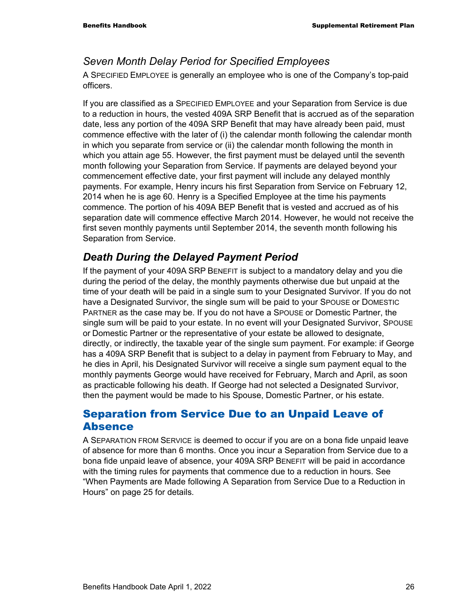#### *Seven Month Delay Period for Specified Employees*

A SPECIFIED EMPLOYEE is generally an employee who is one of the Company's top-paid officers.

If you are classified as a SPECIFIED EMPLOYEE and your Separation from Service is due to a reduction in hours, the vested 409A SRP Benefit that is accrued as of the separation date, less any portion of the 409A SRP Benefit that may have already been paid, must commence effective with the later of (i) the calendar month following the calendar month in which you separate from service or (ii) the calendar month following the month in which you attain age 55. However, the first payment must be delayed until the seventh month following your Separation from Service. If payments are delayed beyond your commencement effective date, your first payment will include any delayed monthly payments. For example, Henry incurs his first Separation from Service on February 12, 2014 when he is age 60. Henry is a Specified Employee at the time his payments commence. The portion of his 409A BEP Benefit that is vested and accrued as of his separation date will commence effective March 2014. However, he would not receive the first seven monthly payments until September 2014, the seventh month following his Separation from Service.

### *Death During the Delayed Payment Period*

If the payment of your 409A SRP BENEFIT is subject to a mandatory delay and you die during the period of the delay, the monthly payments otherwise due but unpaid at the time of your death will be paid in a single sum to your Designated Survivor. If you do not have a Designated Survivor, the single sum will be paid to your SPOUSE or DOMESTIC PARTNER as the case may be. If you do not have a SPOUSE or Domestic Partner, the single sum will be paid to your estate. In no event will your Designated Survivor, SPOUSE or Domestic Partner or the representative of your estate be allowed to designate, directly, or indirectly, the taxable year of the single sum payment. For example: if George has a 409A SRP Benefit that is subject to a delay in payment from February to May, and he dies in April, his Designated Survivor will receive a single sum payment equal to the monthly payments George would have received for February, March and April, as soon as practicable following his death. If George had not selected a Designated Survivor, then the payment would be made to his Spouse, Domestic Partner, or his estate.

#### Separation from Service Due to an Unpaid Leave of Absence

A SEPARATION FROM SERVICE is deemed to occur if you are on a bona fide unpaid leave of absence for more than 6 months. Once you incur a Separation from Service due to a bona fide unpaid leave of absence, your 409A SRP BENEFIT will be paid in accordance with the timing rules for payments that commence due to a reduction in hours. See "When Payments are Made following A Separation from Service Due to a Reduction in Hours" on page 25 for details*.*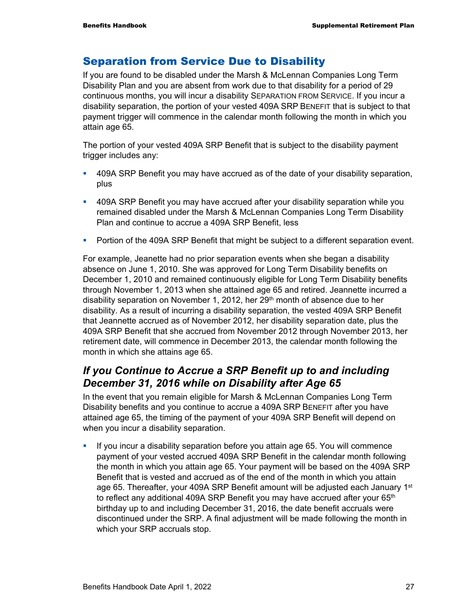### Separation from Service Due to Disability

If you are found to be disabled under the Marsh & McLennan Companies Long Term Disability Plan and you are absent from work due to that disability for a period of 29 continuous months, you will incur a disability SEPARATION FROM SERVICE. If you incur a disability separation, the portion of your vested 409A SRP BENEFIT that is subject to that payment trigger will commence in the calendar month following the month in which you attain age 65.

The portion of your vested 409A SRP Benefit that is subject to the disability payment trigger includes any:

- 409A SRP Benefit you may have accrued as of the date of your disability separation, plus
- 409A SRP Benefit you may have accrued after your disability separation while you remained disabled under the Marsh & McLennan Companies Long Term Disability Plan and continue to accrue a 409A SRP Benefit, less
- **Portion of the 409A SRP Benefit that might be subject to a different separation event.**

For example, Jeanette had no prior separation events when she began a disability absence on June 1, 2010. She was approved for Long Term Disability benefits on December 1, 2010 and remained continuously eligible for Long Term Disability benefits through November 1, 2013 when she attained age 65 and retired. Jeannette incurred a disability separation on November 1, 2012, her 29<sup>th</sup> month of absence due to her disability. As a result of incurring a disability separation, the vested 409A SRP Benefit that Jeannette accrued as of November 2012, her disability separation date, plus the 409A SRP Benefit that she accrued from November 2012 through November 2013, her retirement date, will commence in December 2013, the calendar month following the month in which she attains age 65.

### *If you Continue to Accrue a SRP Benefit up to and including December 31, 2016 while on Disability after Age 65*

In the event that you remain eligible for Marsh & McLennan Companies Long Term Disability benefits and you continue to accrue a 409A SRP BENEFIT after you have attained age 65, the timing of the payment of your 409A SRP Benefit will depend on when you incur a disability separation.

If you incur a disability separation before you attain age 65. You will commence payment of your vested accrued 409A SRP Benefit in the calendar month following the month in which you attain age 65. Your payment will be based on the 409A SRP Benefit that is vested and accrued as of the end of the month in which you attain age 65. Thereafter, your 409A SRP Benefit amount will be adjusted each January 1st to reflect any additional 409A SRP Benefit you may have accrued after your  $65<sup>th</sup>$ birthday up to and including December 31, 2016, the date benefit accruals were discontinued under the SRP. A final adjustment will be made following the month in which your SRP accruals stop.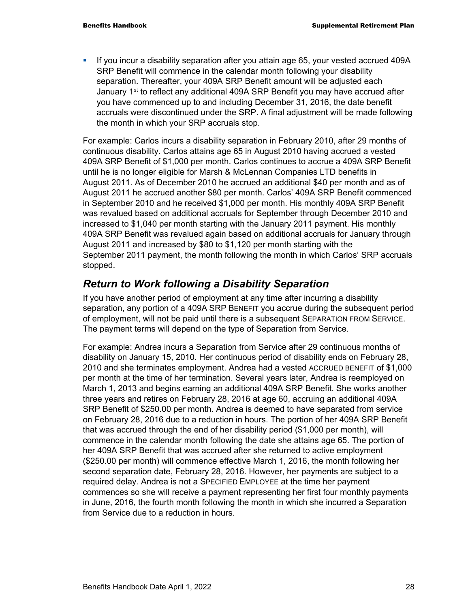If you incur a disability separation after you attain age 65, your vested accrued 409A SRP Benefit will commence in the calendar month following your disability separation. Thereafter, your 409A SRP Benefit amount will be adjusted each January 1<sup>st</sup> to reflect any additional 409A SRP Benefit you may have accrued after you have commenced up to and including December 31, 2016, the date benefit accruals were discontinued under the SRP. A final adjustment will be made following the month in which your SRP accruals stop.

For example: Carlos incurs a disability separation in February 2010, after 29 months of continuous disability. Carlos attains age 65 in August 2010 having accrued a vested 409A SRP Benefit of \$1,000 per month. Carlos continues to accrue a 409A SRP Benefit until he is no longer eligible for Marsh & McLennan Companies LTD benefits in August 2011. As of December 2010 he accrued an additional \$40 per month and as of August 2011 he accrued another \$80 per month. Carlos' 409A SRP Benefit commenced in September 2010 and he received \$1,000 per month. His monthly 409A SRP Benefit was revalued based on additional accruals for September through December 2010 and increased to \$1,040 per month starting with the January 2011 payment. His monthly 409A SRP Benefit was revalued again based on additional accruals for January through August 2011 and increased by \$80 to \$1,120 per month starting with the September 2011 payment, the month following the month in which Carlos' SRP accruals stopped.

### *Return to Work following a Disability Separation*

If you have another period of employment at any time after incurring a disability separation, any portion of a 409A SRP BENEFIT you accrue during the subsequent period of employment, will not be paid until there is a subsequent SEPARATION FROM SERVICE. The payment terms will depend on the type of Separation from Service.

For example: Andrea incurs a Separation from Service after 29 continuous months of disability on January 15, 2010. Her continuous period of disability ends on February 28, 2010 and she terminates employment. Andrea had a vested ACCRUED BENEFIT of \$1,000 per month at the time of her termination. Several years later, Andrea is reemployed on March 1, 2013 and begins earning an additional 409A SRP Benefit. She works another three years and retires on February 28, 2016 at age 60, accruing an additional 409A SRP Benefit of \$250.00 per month. Andrea is deemed to have separated from service on February 28, 2016 due to a reduction in hours. The portion of her 409A SRP Benefit that was accrued through the end of her disability period (\$1,000 per month), will commence in the calendar month following the date she attains age 65. The portion of her 409A SRP Benefit that was accrued after she returned to active employment (\$250.00 per month) will commence effective March 1, 2016, the month following her second separation date, February 28, 2016. However, her payments are subject to a required delay. Andrea is not a SPECIFIED EMPLOYEE at the time her payment commences so she will receive a payment representing her first four monthly payments in June, 2016, the fourth month following the month in which she incurred a Separation from Service due to a reduction in hours.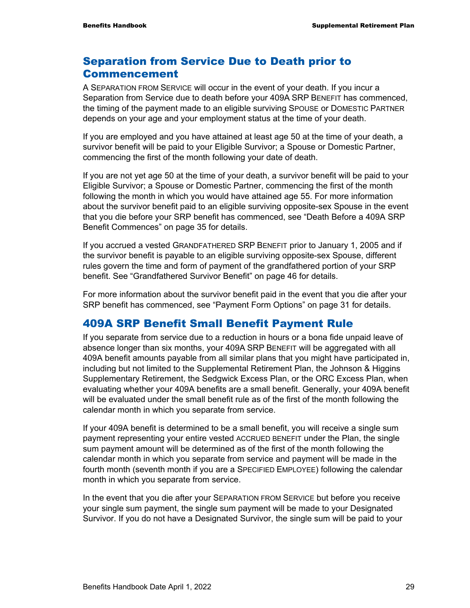### Separation from Service Due to Death prior to Commencement

A SEPARATION FROM SERVICE will occur in the event of your death. If you incur a Separation from Service due to death before your 409A SRP BENEFIT has commenced, the timing of the payment made to an eligible surviving SPOUSE or DOMESTIC PARTNER depends on your age and your employment status at the time of your death.

If you are employed and you have attained at least age 50 at the time of your death, a survivor benefit will be paid to your Eligible Survivor; a Spouse or Domestic Partner, commencing the first of the month following your date of death.

If you are not yet age 50 at the time of your death, a survivor benefit will be paid to your Eligible Survivor; a Spouse or Domestic Partner, commencing the first of the month following the month in which you would have attained age 55. For more information about the survivor benefit paid to an eligible surviving opposite-sex Spouse in the event that you die before your SRP benefit has commenced, see "Death Before a 409A SRP Benefit Commences" on page 35 for details.

If you accrued a vested GRANDFATHERED SRP BENEFIT prior to January 1, 2005 and if the survivor benefit is payable to an eligible surviving opposite-sex Spouse, different rules govern the time and form of payment of the grandfathered portion of your SRP benefit. See "Grandfathered Survivor Benefit" on page 46 for details.

For more information about the survivor benefit paid in the event that you die after your SRP benefit has commenced, see "Payment Form Options" on page 31 for details.

### 409A SRP Benefit Small Benefit Payment Rule

If you separate from service due to a reduction in hours or a bona fide unpaid leave of absence longer than six months, your 409A SRP BENEFIT will be aggregated with all 409A benefit amounts payable from all similar plans that you might have participated in, including but not limited to the Supplemental Retirement Plan, the Johnson & Higgins Supplementary Retirement, the Sedgwick Excess Plan, or the ORC Excess Plan, when evaluating whether your 409A benefits are a small benefit. Generally, your 409A benefit will be evaluated under the small benefit rule as of the first of the month following the calendar month in which you separate from service.

If your 409A benefit is determined to be a small benefit, you will receive a single sum payment representing your entire vested ACCRUED BENEFIT under the Plan, the single sum payment amount will be determined as of the first of the month following the calendar month in which you separate from service and payment will be made in the fourth month (seventh month if you are a SPECIFIED EMPLOYEE) following the calendar month in which you separate from service.

In the event that you die after your SEPARATION FROM SERVICE but before you receive your single sum payment, the single sum payment will be made to your Designated Survivor. If you do not have a Designated Survivor, the single sum will be paid to your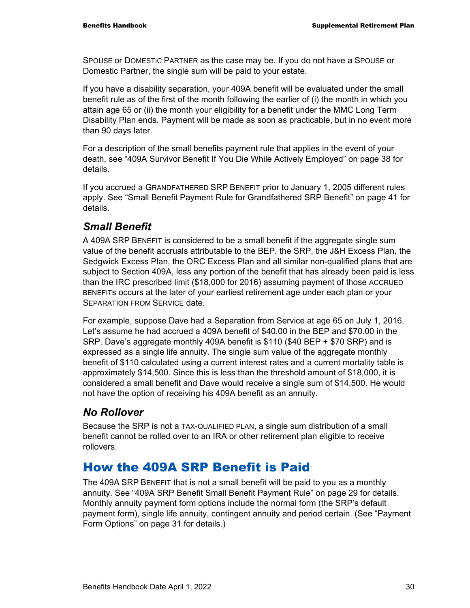SPOUSE or DOMESTIC PARTNER as the case may be. If you do not have a SPOUSE or Domestic Partner, the single sum will be paid to your estate.

If you have a disability separation, your 409A benefit will be evaluated under the small benefit rule as of the first of the month following the earlier of (i) the month in which you attain age 65 or (ii) the month your eligibility for a benefit under the MMC Long Term Disability Plan ends. Payment will be made as soon as practicable, but in no event more than 90 days later.

For a description of the small benefits payment rule that applies in the event of your death, see "409A Survivor Benefit If You Die While Actively Employed" on page 38 for details.

If you accrued a GRANDFATHERED SRP BENEFIT prior to January 1, 2005 different rules apply. See "Small Benefit Payment Rule for Grandfathered SRP Benefit" on page 41 for details.

### *Small Benefit*

A 409A SRP BENEFIT is considered to be a small benefit if the aggregate single sum value of the benefit accruals attributable to the BEP, the SRP, the J&H Excess Plan, the Sedgwick Excess Plan, the ORC Excess Plan and all similar non-qualified plans that are subject to Section 409A, less any portion of the benefit that has already been paid is less than the IRC prescribed limit (\$18,000 for 2016) assuming payment of those ACCRUED BENEFITs occurs at the later of your earliest retirement age under each plan or your SEPARATION FROM SERVICE date.

For example, suppose Dave had a Separation from Service at age 65 on July 1, 2016. Let's assume he had accrued a 409A benefit of \$40.00 in the BEP and \$70.00 in the SRP. Dave's aggregate monthly 409A benefit is \$110 (\$40 BEP + \$70 SRP) and is expressed as a single life annuity. The single sum value of the aggregate monthly benefit of \$110 calculated using a current interest rates and a current mortality table is approximately \$14,500. Since this is less than the threshold amount of \$18,000, it is considered a small benefit and Dave would receive a single sum of \$14,500. He would not have the option of receiving his 409A benefit as an annuity.

### *No Rollover*

Because the SRP is not a TAX-QUALIFIED PLAN, a single sum distribution of a small benefit cannot be rolled over to an IRA or other retirement plan eligible to receive rollovers.

## How the 409A SRP Benefit is Paid

The 409A SRP BENEFIT that is not a small benefit will be paid to you as a monthly annuity. See "409A SRP Benefit Small Benefit Payment Rule" on page 29 for details. Monthly annuity payment form options include the normal form (the SRP's default payment form), single life annuity, contingent annuity and period certain. (See "Payment Form Options" on page 31 for details.)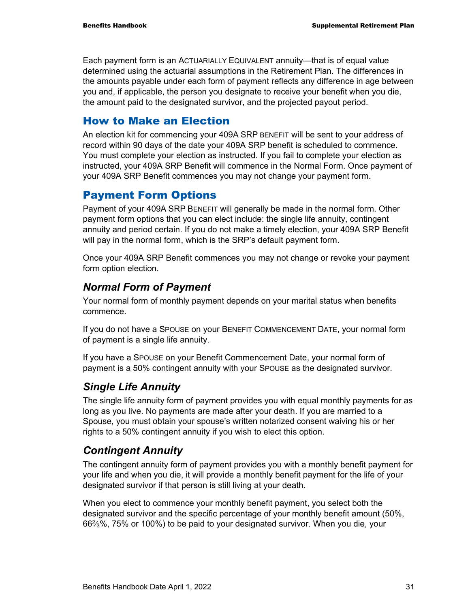Each payment form is an ACTUARIALLY EQUIVALENT annuity—that is of equal value determined using the actuarial assumptions in the Retirement Plan. The differences in the amounts payable under each form of payment reflects any difference in age between you and, if applicable, the person you designate to receive your benefit when you die, the amount paid to the designated survivor, and the projected payout period.

#### How to Make an Election

An election kit for commencing your 409A SRP BENEFIT will be sent to your address of record within 90 days of the date your 409A SRP benefit is scheduled to commence. You must complete your election as instructed. If you fail to complete your election as instructed, your 409A SRP Benefit will commence in the Normal Form. Once payment of your 409A SRP Benefit commences you may not change your payment form.

### Payment Form Options

Payment of your 409A SRP BENEFIT will generally be made in the normal form. Other payment form options that you can elect include: the single life annuity, contingent annuity and period certain. If you do not make a timely election, your 409A SRP Benefit will pay in the normal form, which is the SRP's default payment form.

Once your 409A SRP Benefit commences you may not change or revoke your payment form option election.

### *Normal Form of Payment*

Your normal form of monthly payment depends on your marital status when benefits commence.

If you do not have a SPOUSE on your BENEFIT COMMENCEMENT DATE, your normal form of payment is a single life annuity.

If you have a SPOUSE on your Benefit Commencement Date, your normal form of payment is a 50% contingent annuity with your SPOUSE as the designated survivor.

### *Single Life Annuity*

The single life annuity form of payment provides you with equal monthly payments for as long as you live. No payments are made after your death. If you are married to a Spouse, you must obtain your spouse's written notarized consent waiving his or her rights to a 50% contingent annuity if you wish to elect this option.

### *Contingent Annuity*

The contingent annuity form of payment provides you with a monthly benefit payment for your life and when you die, it will provide a monthly benefit payment for the life of your designated survivor if that person is still living at your death.

When you elect to commence your monthly benefit payment, you select both the designated survivor and the specific percentage of your monthly benefit amount (50%, 662⁄3%, 75% or 100%) to be paid to your designated survivor. When you die, your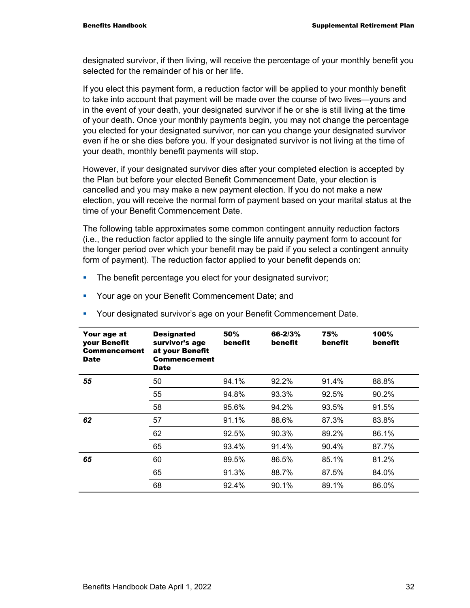designated survivor, if then living, will receive the percentage of your monthly benefit you selected for the remainder of his or her life.

If you elect this payment form, a reduction factor will be applied to your monthly benefit to take into account that payment will be made over the course of two lives—yours and in the event of your death, your designated survivor if he or she is still living at the time of your death. Once your monthly payments begin, you may not change the percentage you elected for your designated survivor, nor can you change your designated survivor even if he or she dies before you. If your designated survivor is not living at the time of your death, monthly benefit payments will stop.

However, if your designated survivor dies after your completed election is accepted by the Plan but before your elected Benefit Commencement Date, your election is cancelled and you may make a new payment election. If you do not make a new election, you will receive the normal form of payment based on your marital status at the time of your Benefit Commencement Date.

The following table approximates some common contingent annuity reduction factors (i.e., the reduction factor applied to the single life annuity payment form to account for the longer period over which your benefit may be paid if you select a contingent annuity form of payment). The reduction factor applied to your benefit depends on:

- **The benefit percentage you elect for your designated survivor;**
- **Your age on your Benefit Commencement Date; and**

| Your age at<br>your Benefit<br>Commencement<br><b>Date</b> | <b>Designated</b><br>survivor's age<br>at your Benefit<br><b>Commencement</b><br><b>Date</b> | 50%<br>benefit | 66-2/3%<br>benefit | 75%<br>benefit | 100%<br>benefit |
|------------------------------------------------------------|----------------------------------------------------------------------------------------------|----------------|--------------------|----------------|-----------------|
| 55                                                         | 50                                                                                           | 94.1%          | 92.2%              | 91.4%          | 88.8%           |
|                                                            | 55                                                                                           | 94.8%          | 93.3%              | 92.5%          | 90.2%           |
|                                                            | 58                                                                                           | 95.6%          | 94.2%              | 93.5%          | 91.5%           |
| 62                                                         | 57                                                                                           | 91.1%          | 88.6%              | 87.3%          | 83.8%           |
|                                                            | 62                                                                                           | 92.5%          | 90.3%              | 89.2%          | 86.1%           |
|                                                            | 65                                                                                           | 93.4%          | 91.4%              | 90.4%          | 87.7%           |
| 65                                                         | 60                                                                                           | 89.5%          | 86.5%              | 85.1%          | 81.2%           |
|                                                            | 65                                                                                           | 91.3%          | 88.7%              | 87.5%          | 84.0%           |
|                                                            | 68                                                                                           | 92.4%          | 90.1%              | 89.1%          | 86.0%           |

Your designated survivor's age on your Benefit Commencement Date.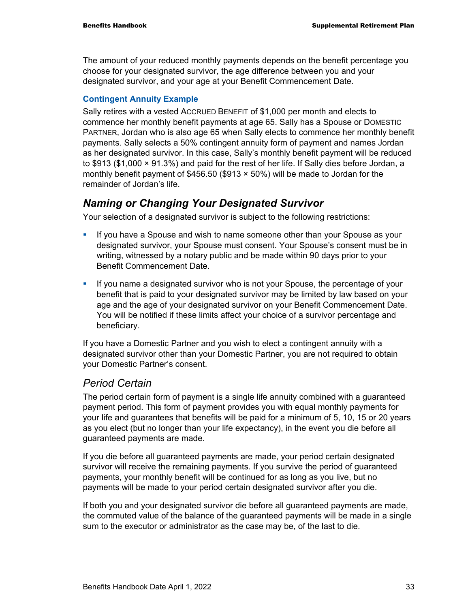The amount of your reduced monthly payments depends on the benefit percentage you choose for your designated survivor, the age difference between you and your designated survivor, and your age at your Benefit Commencement Date.

#### **Contingent Annuity Example**

Sally retires with a vested ACCRUED BENEFIT of \$1,000 per month and elects to commence her monthly benefit payments at age 65. Sally has a Spouse or DOMESTIC PARTNER, Jordan who is also age 65 when Sally elects to commence her monthly benefit payments. Sally selects a 50% contingent annuity form of payment and names Jordan as her designated survivor. In this case, Sally's monthly benefit payment will be reduced to \$913 (\$1,000 × 91.3%) and paid for the rest of her life. If Sally dies before Jordan, a monthly benefit payment of \$456.50 (\$913  $\times$  50%) will be made to Jordan for the remainder of Jordan's life.

#### *Naming or Changing Your Designated Survivor*

Your selection of a designated survivor is subject to the following restrictions:

- If you have a Spouse and wish to name someone other than your Spouse as your designated survivor, your Spouse must consent. Your Spouse's consent must be in writing, witnessed by a notary public and be made within 90 days prior to your Benefit Commencement Date.
- If you name a designated survivor who is not your Spouse, the percentage of your benefit that is paid to your designated survivor may be limited by law based on your age and the age of your designated survivor on your Benefit Commencement Date. You will be notified if these limits affect your choice of a survivor percentage and beneficiary.

If you have a Domestic Partner and you wish to elect a contingent annuity with a designated survivor other than your Domestic Partner, you are not required to obtain your Domestic Partner's consent.

#### *Period Certain*

The period certain form of payment is a single life annuity combined with a guaranteed payment period. This form of payment provides you with equal monthly payments for your life and guarantees that benefits will be paid for a minimum of 5, 10, 15 or 20 years as you elect (but no longer than your life expectancy), in the event you die before all guaranteed payments are made.

If you die before all guaranteed payments are made, your period certain designated survivor will receive the remaining payments. If you survive the period of guaranteed payments, your monthly benefit will be continued for as long as you live, but no payments will be made to your period certain designated survivor after you die.

If both you and your designated survivor die before all guaranteed payments are made, the commuted value of the balance of the guaranteed payments will be made in a single sum to the executor or administrator as the case may be, of the last to die.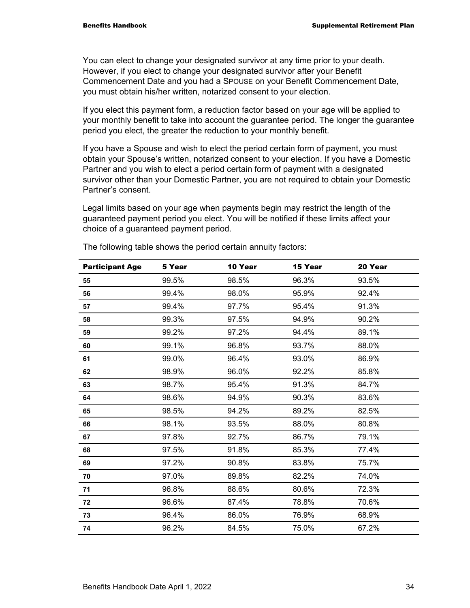You can elect to change your designated survivor at any time prior to your death. However, if you elect to change your designated survivor after your Benefit Commencement Date and you had a SPOUSE on your Benefit Commencement Date, you must obtain his/her written, notarized consent to your election.

If you elect this payment form, a reduction factor based on your age will be applied to your monthly benefit to take into account the guarantee period. The longer the guarantee period you elect, the greater the reduction to your monthly benefit.

If you have a Spouse and wish to elect the period certain form of payment, you must obtain your Spouse's written, notarized consent to your election. If you have a Domestic Partner and you wish to elect a period certain form of payment with a designated survivor other than your Domestic Partner, you are not required to obtain your Domestic Partner's consent.

Legal limits based on your age when payments begin may restrict the length of the guaranteed payment period you elect. You will be notified if these limits affect your choice of a guaranteed payment period.

| <b>Participant Age</b> | 5 Year | 10 Year | 15 Year | 20 Year |
|------------------------|--------|---------|---------|---------|
| 55                     | 99.5%  | 98.5%   | 96.3%   | 93.5%   |
| 56                     | 99.4%  | 98.0%   | 95.9%   | 92.4%   |
| 57                     | 99.4%  | 97.7%   | 95.4%   | 91.3%   |
| 58                     | 99.3%  | 97.5%   | 94.9%   | 90.2%   |
| 59                     | 99.2%  | 97.2%   | 94.4%   | 89.1%   |
| 60                     | 99.1%  | 96.8%   | 93.7%   | 88.0%   |
| 61                     | 99.0%  | 96.4%   | 93.0%   | 86.9%   |
| 62                     | 98.9%  | 96.0%   | 92.2%   | 85.8%   |
| 63                     | 98.7%  | 95.4%   | 91.3%   | 84.7%   |
| 64                     | 98.6%  | 94.9%   | 90.3%   | 83.6%   |
| 65                     | 98.5%  | 94.2%   | 89.2%   | 82.5%   |
| 66                     | 98.1%  | 93.5%   | 88.0%   | 80.8%   |
| 67                     | 97.8%  | 92.7%   | 86.7%   | 79.1%   |
| 68                     | 97.5%  | 91.8%   | 85.3%   | 77.4%   |
| 69                     | 97.2%  | 90.8%   | 83.8%   | 75.7%   |
| 70                     | 97.0%  | 89.8%   | 82.2%   | 74.0%   |
| 71                     | 96.8%  | 88.6%   | 80.6%   | 72.3%   |
| 72                     | 96.6%  | 87.4%   | 78.8%   | 70.6%   |
| 73                     | 96.4%  | 86.0%   | 76.9%   | 68.9%   |
| 74                     | 96.2%  | 84.5%   | 75.0%   | 67.2%   |

The following table shows the period certain annuity factors: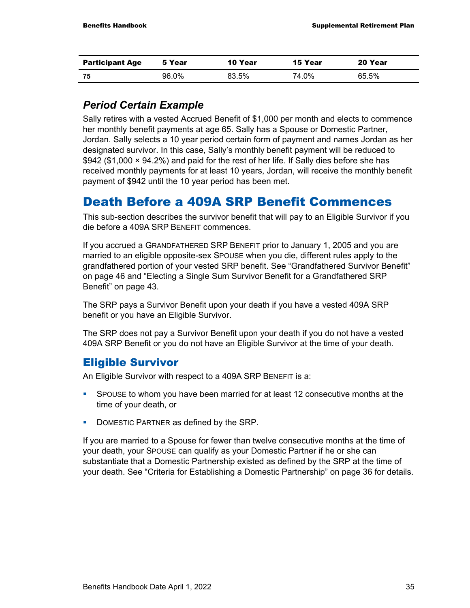| <b>Participant Age</b> | 5 Year | 10 Year | 15 Year | 20 Year |
|------------------------|--------|---------|---------|---------|
| -75                    | 96.0%  | 83.5%   | 74.0%   | 65.5%   |

### *Period Certain Example*

Sally retires with a vested Accrued Benefit of \$1,000 per month and elects to commence her monthly benefit payments at age 65. Sally has a Spouse or Domestic Partner, Jordan. Sally selects a 10 year period certain form of payment and names Jordan as her designated survivor. In this case, Sally's monthly benefit payment will be reduced to \$942 (\$1,000 × 94.2%) and paid for the rest of her life. If Sally dies before she has received monthly payments for at least 10 years, Jordan, will receive the monthly benefit payment of \$942 until the 10 year period has been met.

### Death Before a 409A SRP Benefit Commences

This sub-section describes the survivor benefit that will pay to an Eligible Survivor if you die before a 409A SRP BENEFIT commences.

If you accrued a GRANDFATHERED SRP BENEFIT prior to January 1, 2005 and you are married to an eligible opposite-sex SPOUSE when you die, different rules apply to the grandfathered portion of your vested SRP benefit. See "Grandfathered Survivor Benefit" on page 46 and "Electing a Single Sum Survivor Benefit for a Grandfathered SRP Benefit" on page 43.

The SRP pays a Survivor Benefit upon your death if you have a vested 409A SRP benefit or you have an Eligible Survivor.

The SRP does not pay a Survivor Benefit upon your death if you do not have a vested 409A SRP Benefit or you do not have an Eligible Survivor at the time of your death.

### Eligible Survivor

An Eligible Survivor with respect to a 409A SRP BENEFIT is a:

- SPOUSE to whom you have been married for at least 12 consecutive months at the time of your death, or
- DOMESTIC PARTNER as defined by the SRP.

If you are married to a Spouse for fewer than twelve consecutive months at the time of your death, your SPOUSE can qualify as your Domestic Partner if he or she can substantiate that a Domestic Partnership existed as defined by the SRP at the time of your death. See "Criteria for Establishing a Domestic Partnership" on page 36 for details.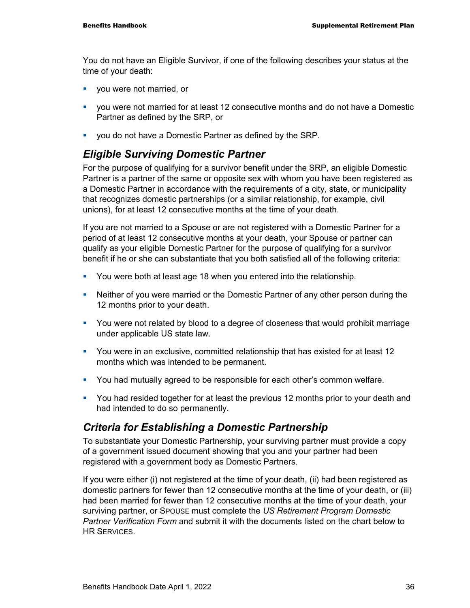You do not have an Eligible Survivor, if one of the following describes your status at the time of your death:

- you were not married, or
- you were not married for at least 12 consecutive months and do not have a Domestic Partner as defined by the SRP, or
- **vou do not have a Domestic Partner as defined by the SRP.**

#### *Eligible Surviving Domestic Partner*

For the purpose of qualifying for a survivor benefit under the SRP, an eligible Domestic Partner is a partner of the same or opposite sex with whom you have been registered as a Domestic Partner in accordance with the requirements of a city, state, or municipality that recognizes domestic partnerships (or a similar relationship, for example, civil unions), for at least 12 consecutive months at the time of your death.

If you are not married to a Spouse or are not registered with a Domestic Partner for a period of at least 12 consecutive months at your death, your Spouse or partner can qualify as your eligible Domestic Partner for the purpose of qualifying for a survivor benefit if he or she can substantiate that you both satisfied all of the following criteria:

- **•** You were both at least age 18 when you entered into the relationship.
- Neither of you were married or the Domestic Partner of any other person during the 12 months prior to your death.
- You were not related by blood to a degree of closeness that would prohibit marriage under applicable US state law.
- You were in an exclusive, committed relationship that has existed for at least 12 months which was intended to be permanent.
- **You had mutually agreed to be responsible for each other's common welfare.**
- You had resided together for at least the previous 12 months prior to your death and had intended to do so permanently.

### *Criteria for Establishing a Domestic Partnership*

To substantiate your Domestic Partnership, your surviving partner must provide a copy of a government issued document showing that you and your partner had been registered with a government body as Domestic Partners.

If you were either (i) not registered at the time of your death, (ii) had been registered as domestic partners for fewer than 12 consecutive months at the time of your death, or (iii) had been married for fewer than 12 consecutive months at the time of your death, your surviving partner, or SPOUSE must complete the *US Retirement Program Domestic Partner Verification Form* and submit it with the documents listed on the chart below to **HR SERVICES**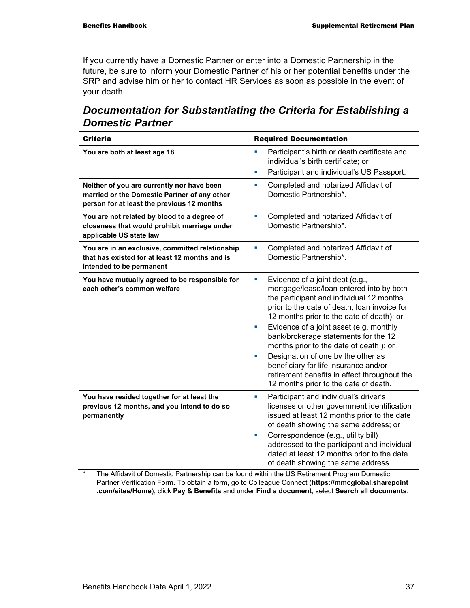If you currently have a Domestic Partner or enter into a Domestic Partnership in the future, be sure to inform your Domestic Partner of his or her potential benefits under the SRP and advise him or her to contact HR Services as soon as possible in the event of your death.

| Documentation for Substantiating the Criteria for Establishing a |  |
|------------------------------------------------------------------|--|
| <b>Domestic Partner</b>                                          |  |

| <b>Criteria</b>                                                                                                                          | <b>Required Documentation</b>                                                                                                                                                                                                                                                                                                                                                                                                                                                                                 |
|------------------------------------------------------------------------------------------------------------------------------------------|---------------------------------------------------------------------------------------------------------------------------------------------------------------------------------------------------------------------------------------------------------------------------------------------------------------------------------------------------------------------------------------------------------------------------------------------------------------------------------------------------------------|
| You are both at least age 18                                                                                                             | Participant's birth or death certificate and<br>a,<br>individual's birth certificate; or<br>Participant and individual's US Passport.<br>a.                                                                                                                                                                                                                                                                                                                                                                   |
| Neither of you are currently nor have been<br>married or the Domestic Partner of any other<br>person for at least the previous 12 months | Completed and notarized Affidavit of<br>$\blacksquare$<br>Domestic Partnership*.                                                                                                                                                                                                                                                                                                                                                                                                                              |
| You are not related by blood to a degree of<br>closeness that would prohibit marriage under<br>applicable US state law                   | Completed and notarized Affidavit of<br>a,<br>Domestic Partnership*.                                                                                                                                                                                                                                                                                                                                                                                                                                          |
| You are in an exclusive, committed relationship<br>that has existed for at least 12 months and is<br>intended to be permanent            | Completed and notarized Affidavit of<br>a,<br>Domestic Partnership*.                                                                                                                                                                                                                                                                                                                                                                                                                                          |
| You have mutually agreed to be responsible for<br>each other's common welfare                                                            | Evidence of a joint debt (e.g.,<br>$\blacksquare$<br>mortgage/lease/loan entered into by both<br>the participant and individual 12 months<br>prior to the date of death, loan invoice for<br>12 months prior to the date of death); or<br>Evidence of a joint asset (e.g. monthly<br>a,<br>bank/brokerage statements for the 12<br>months prior to the date of death); or<br>Designation of one by the other as<br>×<br>beneficiary for life insurance and/or<br>retirement benefits in effect throughout the |
| You have resided together for at least the<br>previous 12 months, and you intend to do so<br>permanently                                 | 12 months prior to the date of death.<br>Participant and individual's driver's<br>$\blacksquare$<br>licenses or other government identification<br>issued at least 12 months prior to the date<br>of death showing the same address; or<br>Correspondence (e.g., utility bill)<br>ш<br>addressed to the participant and individual<br>dated at least 12 months prior to the date<br>of death showing the same address.                                                                                        |

\* The Affidavit of Domestic Partnership can be found within the US Retirement Program Domestic Partner Verification Form. To obtain a form, go to Colleague Connect (**https://mmcglobal.sharepoint .com/sites/Home**), click **Pay & Benefits** and under **Find a document**, select **Search all documents**.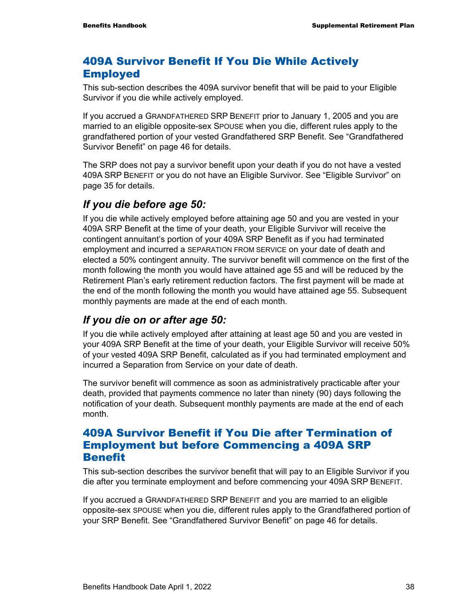### 409A Survivor Benefit If You Die While Actively Employed

This sub-section describes the 409A survivor benefit that will be paid to your Eligible Survivor if you die while actively employed.

If you accrued a GRANDFATHERED SRP BENEFIT prior to January 1, 2005 and you are married to an eligible opposite-sex SPOUSE when you die, different rules apply to the grandfathered portion of your vested Grandfathered SRP Benefit. See "Grandfathered Survivor Benefit" on page 46 for details.

The SRP does not pay a survivor benefit upon your death if you do not have a vested 409A SRP BENEFIT or you do not have an Eligible Survivor. See "Eligible Survivor" on page 35 for details.

### *If you die before age 50:*

If you die while actively employed before attaining age 50 and you are vested in your 409A SRP Benefit at the time of your death, your Eligible Survivor will receive the contingent annuitant's portion of your 409A SRP Benefit as if you had terminated employment and incurred a SEPARATION FROM SERVICE on your date of death and elected a 50% contingent annuity. The survivor benefit will commence on the first of the month following the month you would have attained age 55 and will be reduced by the Retirement Plan's early retirement reduction factors. The first payment will be made at the end of the month following the month you would have attained age 55. Subsequent monthly payments are made at the end of each month.

### *If you die on or after age 50:*

If you die while actively employed after attaining at least age 50 and you are vested in your 409A SRP Benefit at the time of your death, your Eligible Survivor will receive 50% of your vested 409A SRP Benefit, calculated as if you had terminated employment and incurred a Separation from Service on your date of death.

The survivor benefit will commence as soon as administratively practicable after your death, provided that payments commence no later than ninety (90) days following the notification of your death. Subsequent monthly payments are made at the end of each month.

#### 409A Survivor Benefit if You Die after Termination of Employment but before Commencing a 409A SRP **Benefit**

This sub-section describes the survivor benefit that will pay to an Eligible Survivor if you die after you terminate employment and before commencing your 409A SRP BENEFIT.

If you accrued a GRANDFATHERED SRP BENEFIT and you are married to an eligible opposite-sex SPOUSE when you die, different rules apply to the Grandfathered portion of your SRP Benefit. See "Grandfathered Survivor Benefit" on page 46 for details.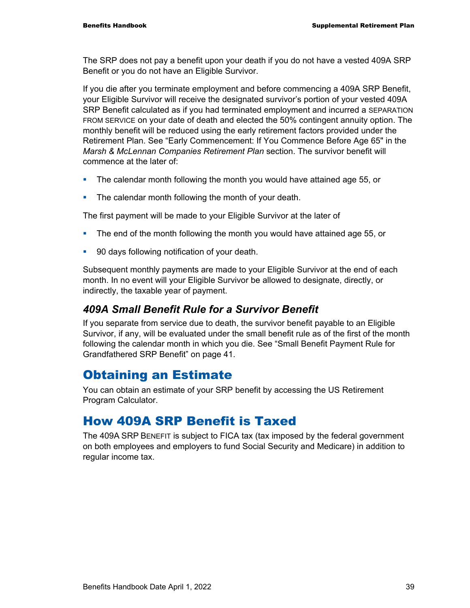The SRP does not pay a benefit upon your death if you do not have a vested 409A SRP Benefit or you do not have an Eligible Survivor.

If you die after you terminate employment and before commencing a 409A SRP Benefit, your Eligible Survivor will receive the designated survivor's portion of your vested 409A SRP Benefit calculated as if you had terminated employment and incurred a SEPARATION FROM SERVICE on your date of death and elected the 50% contingent annuity option. The monthly benefit will be reduced using the early retirement factors provided under the Retirement Plan. See "Early Commencement: If You Commence Before Age 65" in the *Marsh & McLennan Companies Retirement Plan* section. The survivor benefit will commence at the later of:

- The calendar month following the month you would have attained age 55, or
- **The calendar month following the month of your death.**

The first payment will be made to your Eligible Survivor at the later of

- The end of the month following the month you would have attained age 55, or
- **90 days following notification of your death.**

Subsequent monthly payments are made to your Eligible Survivor at the end of each month. In no event will your Eligible Survivor be allowed to designate, directly, or indirectly, the taxable year of payment.

#### *409A Small Benefit Rule for a Survivor Benefit*

If you separate from service due to death, the survivor benefit payable to an Eligible Survivor, if any, will be evaluated under the small benefit rule as of the first of the month following the calendar month in which you die. See "Small Benefit Payment Rule for Grandfathered SRP Benefit" on page 41.

### Obtaining an Estimate

You can obtain an estimate of your SRP benefit by accessing the US Retirement Program Calculator.

### How 409A SRP Benefit is Taxed

The 409A SRP BENEFIT is subject to FICA tax (tax imposed by the federal government on both employees and employers to fund Social Security and Medicare) in addition to regular income tax.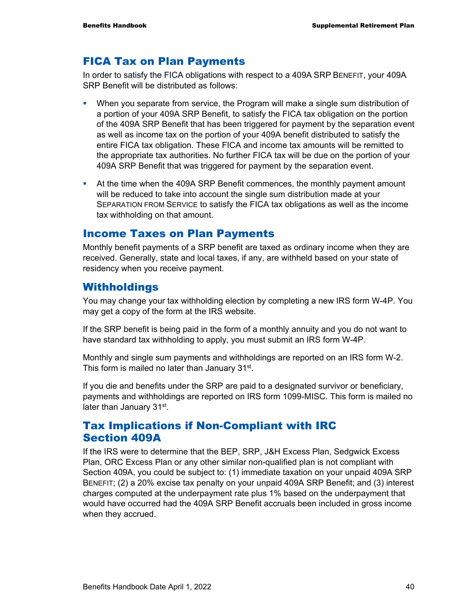#### FICA Tax on Plan Payments

In order to satisfy the FICA obligations with respect to a 409A SRP BENEFIT, your 409A SRP Benefit will be distributed as follows:

- When you separate from service, the Program will make a single sum distribution of a portion of your 409A SRP Benefit, to satisfy the FICA tax obligation on the portion of the 409A SRP Benefit that has been triggered for payment by the separation event as well as income tax on the portion of your 409A benefit distributed to satisfy the entire FICA tax obligation. These FICA and income tax amounts will be remitted to the appropriate tax authorities. No further FICA tax will be due on the portion of your 409A SRP Benefit that was triggered for payment by the separation event.
- At the time when the 409A SRP Benefit commences, the monthly payment amount will be reduced to take into account the single sum distribution made at your SEPARATION FROM SERVICE to satisfy the FICA tax obligations as well as the income tax withholding on that amount.

#### Income Taxes on Plan Payments

Monthly benefit payments of a SRP benefit are taxed as ordinary income when they are received. Generally, state and local taxes, if any, are withheld based on your state of residency when you receive payment.

#### Withholdings

You may change your tax withholding election by completing a new IRS form W-4P. You may get a copy of the form at the IRS website.

If the SRP benefit is being paid in the form of a monthly annuity and you do not want to have standard tax withholding to apply, you must submit an IRS form W-4P.

Monthly and single sum payments and withholdings are reported on an IRS form W-2. This form is mailed no later than January 31<sup>st</sup>.

If you die and benefits under the SRP are paid to a designated survivor or beneficiary, payments and withholdings are reported on IRS form 1099-MISC. This form is mailed no later than January 31st.

### Tax Implications if Non-Compliant with IRC Section 409A

If the IRS were to determine that the BEP, SRP, J&H Excess Plan, Sedgwick Excess Plan, ORC Excess Plan or any other similar non-qualified plan is not compliant with Section 409A, you could be subject to: (1) immediate taxation on your unpaid 409A SRP BENEFIT; (2) a 20% excise tax penalty on your unpaid 409A SRP Benefit; and (3) interest charges computed at the underpayment rate plus 1% based on the underpayment that would have occurred had the 409A SRP Benefit accruals been included in gross income when they accrued.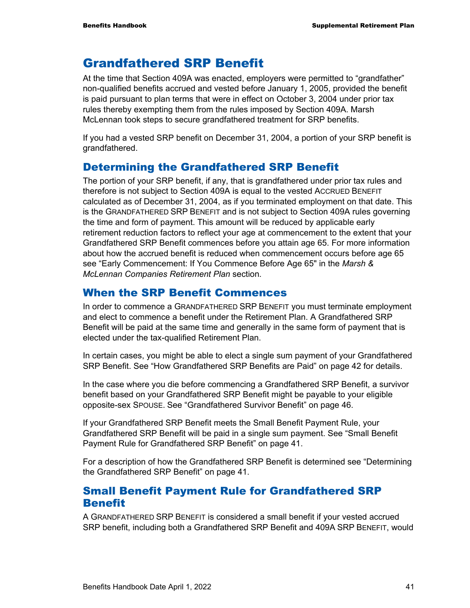### Grandfathered SRP Benefit

At the time that Section 409A was enacted, employers were permitted to "grandfather" non-qualified benefits accrued and vested before January 1, 2005, provided the benefit is paid pursuant to plan terms that were in effect on October 3, 2004 under prior tax rules thereby exempting them from the rules imposed by Section 409A. Marsh McLennan took steps to secure grandfathered treatment for SRP benefits.

If you had a vested SRP benefit on December 31, 2004, a portion of your SRP benefit is grandfathered.

### Determining the Grandfathered SRP Benefit

The portion of your SRP benefit, if any, that is grandfathered under prior tax rules and therefore is not subject to Section 409A is equal to the vested ACCRUED BENEFIT calculated as of December 31, 2004, as if you terminated employment on that date. This is the GRANDFATHERED SRP BENEFIT and is not subject to Section 409A rules governing the time and form of payment. This amount will be reduced by applicable early retirement reduction factors to reflect your age at commencement to the extent that your Grandfathered SRP Benefit commences before you attain age 65. For more information about how the accrued benefit is reduced when commencement occurs before age 65 see "Early Commencement: If You Commence Before Age 65" in the *Marsh & McLennan Companies Retirement Plan* section.

#### When the SRP Benefit Commences

In order to commence a GRANDFATHERED SRP BENEFIT you must terminate employment and elect to commence a benefit under the Retirement Plan. A Grandfathered SRP Benefit will be paid at the same time and generally in the same form of payment that is elected under the tax-qualified Retirement Plan.

In certain cases, you might be able to elect a single sum payment of your Grandfathered SRP Benefit. See "How Grandfathered SRP Benefits are Paid" on page 42 for details.

In the case where you die before commencing a Grandfathered SRP Benefit, a survivor benefit based on your Grandfathered SRP Benefit might be payable to your eligible opposite-sex SPOUSE. See "Grandfathered Survivor Benefit" on page 46.

If your Grandfathered SRP Benefit meets the Small Benefit Payment Rule, your Grandfathered SRP Benefit will be paid in a single sum payment. See "Small Benefit Payment Rule for Grandfathered SRP Benefit" on page 41.

For a description of how the Grandfathered SRP Benefit is determined see "Determining the Grandfathered SRP Benefit" on page 41.

#### Small Benefit Payment Rule for Grandfathered SRP **Benefit**

A GRANDFATHERED SRP BENEFIT is considered a small benefit if your vested accrued SRP benefit, including both a Grandfathered SRP Benefit and 409A SRP BENEFIT, would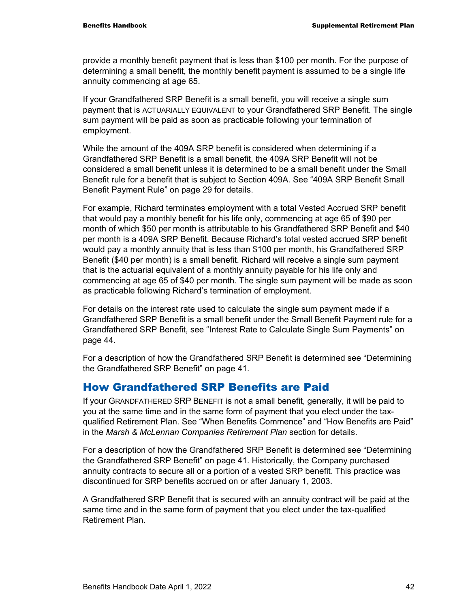provide a monthly benefit payment that is less than \$100 per month. For the purpose of determining a small benefit, the monthly benefit payment is assumed to be a single life annuity commencing at age 65.

If your Grandfathered SRP Benefit is a small benefit, you will receive a single sum payment that is ACTUARIALLY EQUIVALENT to your Grandfathered SRP Benefit. The single sum payment will be paid as soon as practicable following your termination of employment.

While the amount of the 409A SRP benefit is considered when determining if a Grandfathered SRP Benefit is a small benefit, the 409A SRP Benefit will not be considered a small benefit unless it is determined to be a small benefit under the Small Benefit rule for a benefit that is subject to Section 409A. See "409A SRP Benefit Small Benefit Payment Rule" on page 29 for details.

For example, Richard terminates employment with a total Vested Accrued SRP benefit that would pay a monthly benefit for his life only, commencing at age 65 of \$90 per month of which \$50 per month is attributable to his Grandfathered SRP Benefit and \$40 per month is a 409A SRP Benefit. Because Richard's total vested accrued SRP benefit would pay a monthly annuity that is less than \$100 per month, his Grandfathered SRP Benefit (\$40 per month) is a small benefit. Richard will receive a single sum payment that is the actuarial equivalent of a monthly annuity payable for his life only and commencing at age 65 of \$40 per month. The single sum payment will be made as soon as practicable following Richard's termination of employment.

For details on the interest rate used to calculate the single sum payment made if a Grandfathered SRP Benefit is a small benefit under the Small Benefit Payment rule for a Grandfathered SRP Benefit, see "Interest Rate to Calculate Single Sum Payments" on page 44.

For a description of how the Grandfathered SRP Benefit is determined see "Determining the Grandfathered SRP Benefit" on page 41.

#### How Grandfathered SRP Benefits are Paid

If your GRANDFATHERED SRP BENEFIT is not a small benefit, generally, it will be paid to you at the same time and in the same form of payment that you elect under the taxqualified Retirement Plan. See "When Benefits Commence" and "How Benefits are Paid" in the *Marsh & McLennan Companies Retirement Plan* section for details.

For a description of how the Grandfathered SRP Benefit is determined see "Determining the Grandfathered SRP Benefit" on page 41. Historically, the Company purchased annuity contracts to secure all or a portion of a vested SRP benefit. This practice was discontinued for SRP benefits accrued on or after January 1, 2003.

A Grandfathered SRP Benefit that is secured with an annuity contract will be paid at the same time and in the same form of payment that you elect under the tax-qualified Retirement Plan.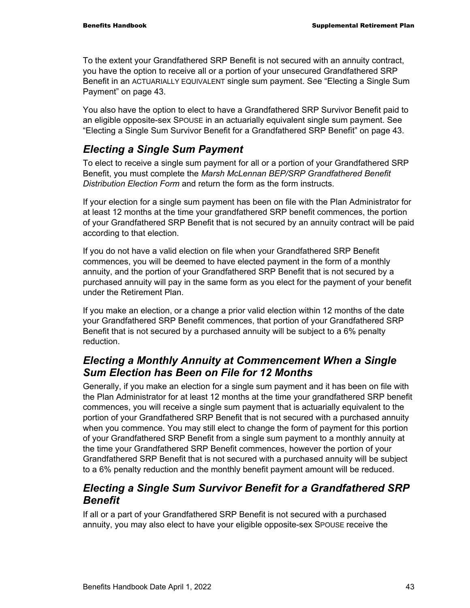To the extent your Grandfathered SRP Benefit is not secured with an annuity contract, you have the option to receive all or a portion of your unsecured Grandfathered SRP Benefit in an ACTUARIALLY EQUIVALENT single sum payment. See "Electing a Single Sum Payment" on page 43.

You also have the option to elect to have a Grandfathered SRP Survivor Benefit paid to an eligible opposite-sex SPOUSE in an actuarially equivalent single sum payment. See "Electing a Single Sum Survivor Benefit for a Grandfathered SRP Benefit" on page 43.

### *Electing a Single Sum Payment*

To elect to receive a single sum payment for all or a portion of your Grandfathered SRP Benefit, you must complete the *Marsh McLennan BEP/SRP Grandfathered Benefit Distribution Election Form* and return the form as the form instructs.

If your election for a single sum payment has been on file with the Plan Administrator for at least 12 months at the time your grandfathered SRP benefit commences, the portion of your Grandfathered SRP Benefit that is not secured by an annuity contract will be paid according to that election.

If you do not have a valid election on file when your Grandfathered SRP Benefit commences, you will be deemed to have elected payment in the form of a monthly annuity, and the portion of your Grandfathered SRP Benefit that is not secured by a purchased annuity will pay in the same form as you elect for the payment of your benefit under the Retirement Plan.

If you make an election, or a change a prior valid election within 12 months of the date your Grandfathered SRP Benefit commences, that portion of your Grandfathered SRP Benefit that is not secured by a purchased annuity will be subject to a 6% penalty reduction.

### *Electing a Monthly Annuity at Commencement When a Single Sum Election has Been on File for 12 Months*

Generally, if you make an election for a single sum payment and it has been on file with the Plan Administrator for at least 12 months at the time your grandfathered SRP benefit commences, you will receive a single sum payment that is actuarially equivalent to the portion of your Grandfathered SRP Benefit that is not secured with a purchased annuity when you commence. You may still elect to change the form of payment for this portion of your Grandfathered SRP Benefit from a single sum payment to a monthly annuity at the time your Grandfathered SRP Benefit commences, however the portion of your Grandfathered SRP Benefit that is not secured with a purchased annuity will be subject to a 6% penalty reduction and the monthly benefit payment amount will be reduced.

### *Electing a Single Sum Survivor Benefit for a Grandfathered SRP Benefit*

If all or a part of your Grandfathered SRP Benefit is not secured with a purchased annuity, you may also elect to have your eligible opposite-sex SPOUSE receive the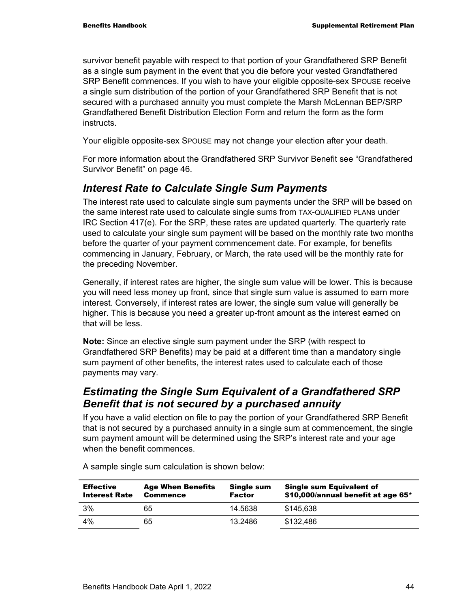survivor benefit payable with respect to that portion of your Grandfathered SRP Benefit as a single sum payment in the event that you die before your vested Grandfathered SRP Benefit commences. If you wish to have your eligible opposite-sex SPOUSE receive a single sum distribution of the portion of your Grandfathered SRP Benefit that is not secured with a purchased annuity you must complete the Marsh McLennan BEP/SRP Grandfathered Benefit Distribution Election Form and return the form as the form **instructs** 

Your eligible opposite-sex SPOUSE may not change your election after your death.

For more information about the Grandfathered SRP Survivor Benefit see "Grandfathered Survivor Benefit" on page 46.

#### *Interest Rate to Calculate Single Sum Payments*

The interest rate used to calculate single sum payments under the SRP will be based on the same interest rate used to calculate single sums from TAX-QUALIFIED PLANs under IRC Section 417(e). For the SRP, these rates are updated quarterly. The quarterly rate used to calculate your single sum payment will be based on the monthly rate two months before the quarter of your payment commencement date. For example, for benefits commencing in January, February, or March, the rate used will be the monthly rate for the preceding November.

Generally, if interest rates are higher, the single sum value will be lower. This is because you will need less money up front, since that single sum value is assumed to earn more interest. Conversely, if interest rates are lower, the single sum value will generally be higher. This is because you need a greater up-front amount as the interest earned on that will be less.

**Note:** Since an elective single sum payment under the SRP (with respect to Grandfathered SRP Benefits) may be paid at a different time than a mandatory single sum payment of other benefits, the interest rates used to calculate each of those payments may vary.

### *Estimating the Single Sum Equivalent of a Grandfathered SRP Benefit that is not secured by a purchased annuity*

If you have a valid election on file to pay the portion of your Grandfathered SRP Benefit that is not secured by a purchased annuity in a single sum at commencement, the single sum payment amount will be determined using the SRP's interest rate and your age when the benefit commences

| <b>Effective</b><br><b>Interest Rate</b> | <b>Age When Benefits</b><br><b>Commence</b> | Single sum<br><b>Factor</b> | <b>Single sum Equivalent of</b><br>\$10,000/annual benefit at age 65* |
|------------------------------------------|---------------------------------------------|-----------------------------|-----------------------------------------------------------------------|
| 3%                                       | 65                                          | 14.5638                     | \$145.638                                                             |
| 4%                                       | 65                                          | 13.2486                     | \$132,486                                                             |

A sample single sum calculation is shown below: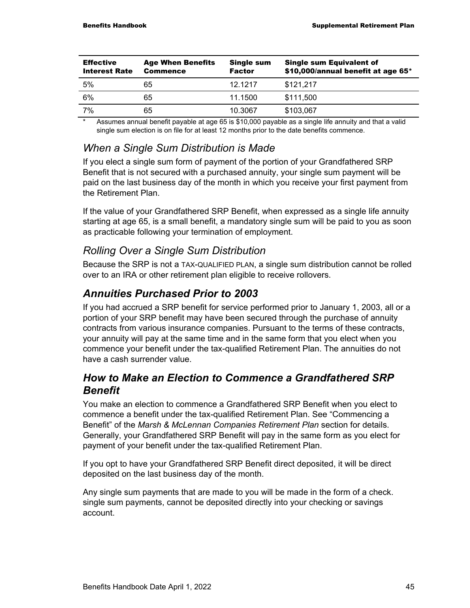| <b>Effective</b><br><b>Interest Rate</b> | <b>Age When Benefits</b><br><b>Commence</b> | <b>Single sum</b><br><b>Factor</b> | <b>Single sum Equivalent of</b><br>\$10,000/annual benefit at age 65* |
|------------------------------------------|---------------------------------------------|------------------------------------|-----------------------------------------------------------------------|
| 5%                                       | 65                                          | 12.1217                            | \$121,217                                                             |
| 6%                                       | 65                                          | 11.1500                            | \$111,500                                                             |
| 7%                                       | 65                                          | 10.3067                            | \$103,067                                                             |
|                                          |                                             |                                    |                                                                       |

Assumes annual benefit payable at age 65 is \$10,000 payable as a single life annuity and that a valid single sum election is on file for at least 12 months prior to the date benefits commence.

### *When a Single Sum Distribution is Made*

If you elect a single sum form of payment of the portion of your Grandfathered SRP Benefit that is not secured with a purchased annuity, your single sum payment will be paid on the last business day of the month in which you receive your first payment from the Retirement Plan.

If the value of your Grandfathered SRP Benefit, when expressed as a single life annuity starting at age 65, is a small benefit, a mandatory single sum will be paid to you as soon as practicable following your termination of employment.

### *Rolling Over a Single Sum Distribution*

Because the SRP is not a TAX-QUALIFIED PLAN, a single sum distribution cannot be rolled over to an IRA or other retirement plan eligible to receive rollovers.

### *Annuities Purchased Prior to 2003*

If you had accrued a SRP benefit for service performed prior to January 1, 2003, all or a portion of your SRP benefit may have been secured through the purchase of annuity contracts from various insurance companies. Pursuant to the terms of these contracts, your annuity will pay at the same time and in the same form that you elect when you commence your benefit under the tax-qualified Retirement Plan. The annuities do not have a cash surrender value.

### *How to Make an Election to Commence a Grandfathered SRP Benefit*

You make an election to commence a Grandfathered SRP Benefit when you elect to commence a benefit under the tax-qualified Retirement Plan. See "Commencing a Benefit" of the *Marsh & McLennan Companies Retirement Plan* section for details. Generally, your Grandfathered SRP Benefit will pay in the same form as you elect for payment of your benefit under the tax-qualified Retirement Plan.

If you opt to have your Grandfathered SRP Benefit direct deposited, it will be direct deposited on the last business day of the month.

Any single sum payments that are made to you will be made in the form of a check. single sum payments, cannot be deposited directly into your checking or savings account.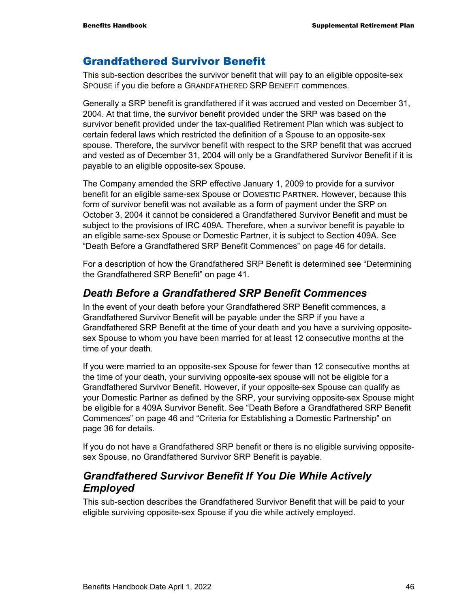### Grandfathered Survivor Benefit

This sub-section describes the survivor benefit that will pay to an eligible opposite-sex SPOUSE if you die before a GRANDFATHERED SRP BENEFIT commences.

Generally a SRP benefit is grandfathered if it was accrued and vested on December 31, 2004. At that time, the survivor benefit provided under the SRP was based on the survivor benefit provided under the tax-qualified Retirement Plan which was subject to certain federal laws which restricted the definition of a Spouse to an opposite-sex spouse. Therefore, the survivor benefit with respect to the SRP benefit that was accrued and vested as of December 31, 2004 will only be a Grandfathered Survivor Benefit if it is payable to an eligible opposite-sex Spouse.

The Company amended the SRP effective January 1, 2009 to provide for a survivor benefit for an eligible same-sex Spouse or DOMESTIC PARTNER. However, because this form of survivor benefit was not available as a form of payment under the SRP on October 3, 2004 it cannot be considered a Grandfathered Survivor Benefit and must be subject to the provisions of IRC 409A. Therefore, when a survivor benefit is payable to an eligible same-sex Spouse or Domestic Partner, it is subject to Section 409A. See "Death Before a Grandfathered SRP Benefit Commences" on page 46 for details.

For a description of how the Grandfathered SRP Benefit is determined see "Determining the Grandfathered SRP Benefit" on page 41.

#### *Death Before a Grandfathered SRP Benefit Commences*

In the event of your death before your Grandfathered SRP Benefit commences, a Grandfathered Survivor Benefit will be payable under the SRP if you have a Grandfathered SRP Benefit at the time of your death and you have a surviving oppositesex Spouse to whom you have been married for at least 12 consecutive months at the time of your death.

If you were married to an opposite-sex Spouse for fewer than 12 consecutive months at the time of your death, your surviving opposite-sex spouse will not be eligible for a Grandfathered Survivor Benefit. However, if your opposite-sex Spouse can qualify as your Domestic Partner as defined by the SRP, your surviving opposite-sex Spouse might be eligible for a 409A Survivor Benefit. See "Death Before a Grandfathered SRP Benefit Commences" on page 46 and "Criteria for Establishing a Domestic Partnership" on page 36 for details.

If you do not have a Grandfathered SRP benefit or there is no eligible surviving oppositesex Spouse, no Grandfathered Survivor SRP Benefit is payable.

#### *Grandfathered Survivor Benefit If You Die While Actively Employed*

This sub-section describes the Grandfathered Survivor Benefit that will be paid to your eligible surviving opposite-sex Spouse if you die while actively employed.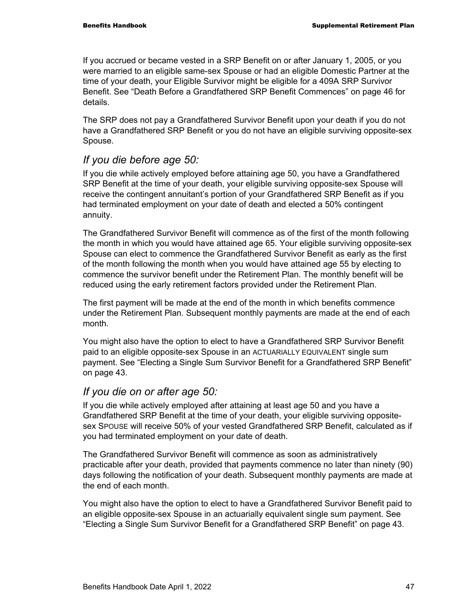If you accrued or became vested in a SRP Benefit on or after January 1, 2005, or you were married to an eligible same-sex Spouse or had an eligible Domestic Partner at the time of your death, your Eligible Survivor might be eligible for a 409A SRP Survivor Benefit. See "Death Before a Grandfathered SRP Benefit Commences" on page 46 for details.

The SRP does not pay a Grandfathered Survivor Benefit upon your death if you do not have a Grandfathered SRP Benefit or you do not have an eligible surviving opposite-sex Spouse.

#### *If you die before age 50:*

If you die while actively employed before attaining age 50, you have a Grandfathered SRP Benefit at the time of your death, your eligible surviving opposite-sex Spouse will receive the contingent annuitant's portion of your Grandfathered SRP Benefit as if you had terminated employment on your date of death and elected a 50% contingent annuity.

The Grandfathered Survivor Benefit will commence as of the first of the month following the month in which you would have attained age 65. Your eligible surviving opposite-sex Spouse can elect to commence the Grandfathered Survivor Benefit as early as the first of the month following the month when you would have attained age 55 by electing to commence the survivor benefit under the Retirement Plan. The monthly benefit will be reduced using the early retirement factors provided under the Retirement Plan.

The first payment will be made at the end of the month in which benefits commence under the Retirement Plan. Subsequent monthly payments are made at the end of each month.

You might also have the option to elect to have a Grandfathered SRP Survivor Benefit paid to an eligible opposite-sex Spouse in an ACTUARIALLY EQUIVALENT single sum payment. See "Electing a Single Sum Survivor Benefit for a Grandfathered SRP Benefit" on page 43.

#### *If you die on or after age 50:*

If you die while actively employed after attaining at least age 50 and you have a Grandfathered SRP Benefit at the time of your death, your eligible surviving oppositesex SPOUSE will receive 50% of your vested Grandfathered SRP Benefit, calculated as if you had terminated employment on your date of death.

The Grandfathered Survivor Benefit will commence as soon as administratively practicable after your death, provided that payments commence no later than ninety (90) days following the notification of your death. Subsequent monthly payments are made at the end of each month.

You might also have the option to elect to have a Grandfathered Survivor Benefit paid to an eligible opposite-sex Spouse in an actuarially equivalent single sum payment. See "Electing a Single Sum Survivor Benefit for a Grandfathered SRP Benefit" on page 43.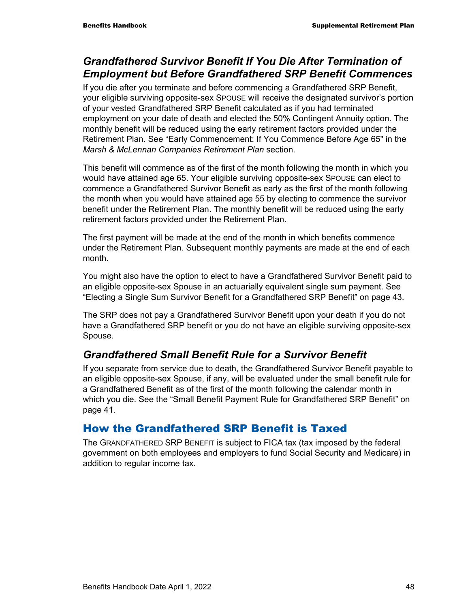### *Grandfathered Survivor Benefit If You Die After Termination of Employment but Before Grandfathered SRP Benefit Commences*

If you die after you terminate and before commencing a Grandfathered SRP Benefit, your eligible surviving opposite-sex SPOUSE will receive the designated survivor's portion of your vested Grandfathered SRP Benefit calculated as if you had terminated employment on your date of death and elected the 50% Contingent Annuity option. The monthly benefit will be reduced using the early retirement factors provided under the Retirement Plan. See "Early Commencement: If You Commence Before Age 65" in the *Marsh & McLennan Companies Retirement Plan* section.

This benefit will commence as of the first of the month following the month in which you would have attained age 65. Your eligible surviving opposite-sex SPOUSE can elect to commence a Grandfathered Survivor Benefit as early as the first of the month following the month when you would have attained age 55 by electing to commence the survivor benefit under the Retirement Plan. The monthly benefit will be reduced using the early retirement factors provided under the Retirement Plan.

The first payment will be made at the end of the month in which benefits commence under the Retirement Plan. Subsequent monthly payments are made at the end of each month.

You might also have the option to elect to have a Grandfathered Survivor Benefit paid to an eligible opposite-sex Spouse in an actuarially equivalent single sum payment. See "Electing a Single Sum Survivor Benefit for a Grandfathered SRP Benefit" on page 43.

The SRP does not pay a Grandfathered Survivor Benefit upon your death if you do not have a Grandfathered SRP benefit or you do not have an eligible surviving opposite-sex Spouse.

### *Grandfathered Small Benefit Rule for a Survivor Benefit*

If you separate from service due to death, the Grandfathered Survivor Benefit payable to an eligible opposite-sex Spouse, if any, will be evaluated under the small benefit rule for a Grandfathered Benefit as of the first of the month following the calendar month in which you die. See the "Small Benefit Payment Rule for Grandfathered SRP Benefit" on page 41.

### How the Grandfathered SRP Benefit is Taxed

The GRANDFATHERED SRP BENEFIT is subject to FICA tax (tax imposed by the federal government on both employees and employers to fund Social Security and Medicare) in addition to regular income tax.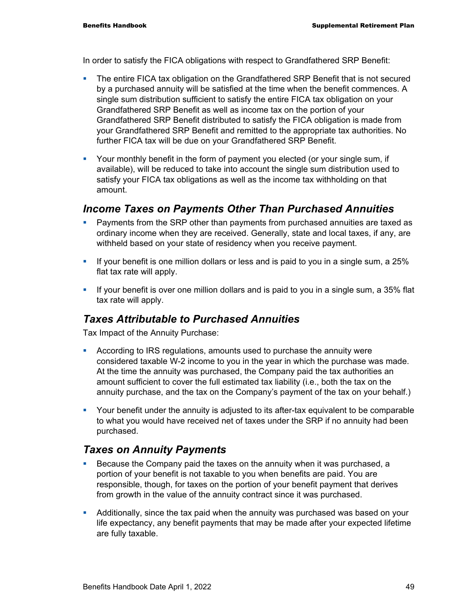In order to satisfy the FICA obligations with respect to Grandfathered SRP Benefit:

- **The entire FICA tax obligation on the Grandfathered SRP Benefit that is not secured** by a purchased annuity will be satisfied at the time when the benefit commences. A single sum distribution sufficient to satisfy the entire FICA tax obligation on your Grandfathered SRP Benefit as well as income tax on the portion of your Grandfathered SRP Benefit distributed to satisfy the FICA obligation is made from your Grandfathered SRP Benefit and remitted to the appropriate tax authorities. No further FICA tax will be due on your Grandfathered SRP Benefit.
- Your monthly benefit in the form of payment you elected (or your single sum, if available), will be reduced to take into account the single sum distribution used to satisfy your FICA tax obligations as well as the income tax withholding on that amount.

#### *Income Taxes on Payments Other Than Purchased Annuities*

- Payments from the SRP other than payments from purchased annuities are taxed as ordinary income when they are received. Generally, state and local taxes, if any, are withheld based on your state of residency when you receive payment.
- If your benefit is one million dollars or less and is paid to you in a single sum, a 25% flat tax rate will apply.
- If your benefit is over one million dollars and is paid to you in a single sum, a 35% flat tax rate will apply.

### *Taxes Attributable to Purchased Annuities*

Tax Impact of the Annuity Purchase:

- According to IRS regulations, amounts used to purchase the annuity were considered taxable W-2 income to you in the year in which the purchase was made. At the time the annuity was purchased, the Company paid the tax authorities an amount sufficient to cover the full estimated tax liability (i.e., both the tax on the annuity purchase, and the tax on the Company's payment of the tax on your behalf.)
- Your benefit under the annuity is adjusted to its after-tax equivalent to be comparable to what you would have received net of taxes under the SRP if no annuity had been purchased.

#### *Taxes on Annuity Payments*

- **Because the Company paid the taxes on the annuity when it was purchased, a** portion of your benefit is not taxable to you when benefits are paid. You are responsible, though, for taxes on the portion of your benefit payment that derives from growth in the value of the annuity contract since it was purchased.
- Additionally, since the tax paid when the annuity was purchased was based on your life expectancy, any benefit payments that may be made after your expected lifetime are fully taxable.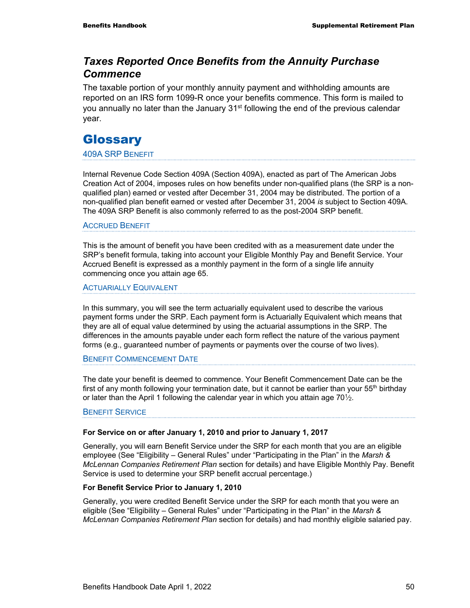#### *Taxes Reported Once Benefits from the Annuity Purchase Commence*

The taxable portion of your monthly annuity payment and withholding amounts are reported on an IRS form 1099-R once your benefits commence. This form is mailed to you annually no later than the January  $31<sup>st</sup>$  following the end of the previous calendar year.

### **Glossary**

#### 409A SRP BENEFIT

Internal Revenue Code Section 409A (Section 409A), enacted as part of The American Jobs Creation Act of 2004, imposes rules on how benefits under non-qualified plans (the SRP is a nonqualified plan) earned or vested after December 31, 2004 may be distributed. The portion of a non-qualified plan benefit earned or vested after December 31, 2004 *is* subject to Section 409A. The 409A SRP Benefit is also commonly referred to as the post-2004 SRP benefit.

#### ACCRUED BENEFIT

This is the amount of benefit you have been credited with as a measurement date under the SRP's benefit formula, taking into account your Eligible Monthly Pay and Benefit Service. Your Accrued Benefit is expressed as a monthly payment in the form of a single life annuity commencing once you attain age 65.

#### ACTUARIALLY EQUIVALENT

In this summary, you will see the term actuarially equivalent used to describe the various payment forms under the SRP. Each payment form is Actuarially Equivalent which means that they are all of equal value determined by using the actuarial assumptions in the SRP. The differences in the amounts payable under each form reflect the nature of the various payment forms (e.g., guaranteed number of payments or payments over the course of two lives).

#### BENEFIT COMMENCEMENT DATE

The date your benefit is deemed to commence. Your Benefit Commencement Date can be the first of any month following your termination date, but it cannot be earlier than your  $55<sup>th</sup>$  birthday or later than the April 1 following the calendar year in which you attain age  $70\frac{1}{2}$ .

#### BENEFIT SERVICE

#### **For Service on or after January 1, 2010 and prior to January 1, 2017**

Generally, you will earn Benefit Service under the SRP for each month that you are an eligible employee (See "Eligibility – General Rules" under "Participating in the Plan" in the *Marsh & McLennan Companies Retirement Plan* section for details) and have Eligible Monthly Pay. Benefit Service is used to determine your SRP benefit accrual percentage.)

#### **For Benefit Service Prior to January 1, 2010**

Generally, you were credited Benefit Service under the SRP for each month that you were an eligible (See "Eligibility – General Rules" under "Participating in the Plan" in the *Marsh & McLennan Companies Retirement Plan* section for details) and had monthly eligible salaried pay.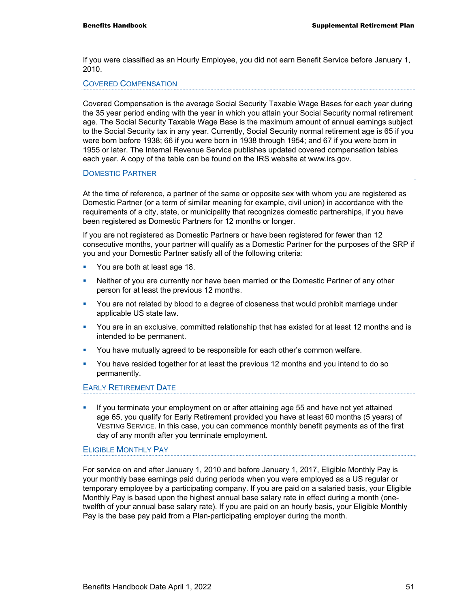If you were classified as an Hourly Employee, you did not earn Benefit Service before January 1, 2010.

#### COVERED COMPENSATION

Covered Compensation is the average Social Security Taxable Wage Bases for each year during the 35 year period ending with the year in which you attain your Social Security normal retirement age. The Social Security Taxable Wage Base is the maximum amount of annual earnings subject to the Social Security tax in any year. Currently, Social Security normal retirement age is 65 if you were born before 1938; 66 if you were born in 1938 through 1954; and 67 if you were born in 1955 or later. The Internal Revenue Service publishes updated covered compensation tables each year. A copy of the table can be found on the IRS website at www.irs.gov.

#### DOMESTIC PARTNER

At the time of reference, a partner of the same or opposite sex with whom you are registered as Domestic Partner (or a term of similar meaning for example, civil union) in accordance with the requirements of a city, state, or municipality that recognizes domestic partnerships, if you have been registered as Domestic Partners for 12 months or longer.

If you are not registered as Domestic Partners or have been registered for fewer than 12 consecutive months, your partner will qualify as a Domestic Partner for the purposes of the SRP if you and your Domestic Partner satisfy all of the following criteria:

- You are both at least age 18.
- **•** Neither of you are currently nor have been married or the Domestic Partner of any other person for at least the previous 12 months.
- **•** You are not related by blood to a degree of closeness that would prohibit marriage under applicable US state law.
- You are in an exclusive, committed relationship that has existed for at least 12 months and is intended to be permanent.
- You have mutually agreed to be responsible for each other's common welfare.
- You have resided together for at least the previous 12 months and you intend to do so permanently.

#### EARLY RETIREMENT DATE

**If you terminate your employment on or after attaining age 55 and have not yet attained** age 65, you qualify for Early Retirement provided you have at least 60 months (5 years) of VESTING SERVICE. In this case, you can commence monthly benefit payments as of the first day of any month after you terminate employment.

#### ELIGIBLE MONTHLY PAY

For service on and after January 1, 2010 and before January 1, 2017, Eligible Monthly Pay is your monthly base earnings paid during periods when you were employed as a US regular or temporary employee by a participating company. If you are paid on a salaried basis, your Eligible Monthly Pay is based upon the highest annual base salary rate in effect during a month (onetwelfth of your annual base salary rate). If you are paid on an hourly basis, your Eligible Monthly Pay is the base pay paid from a Plan-participating employer during the month.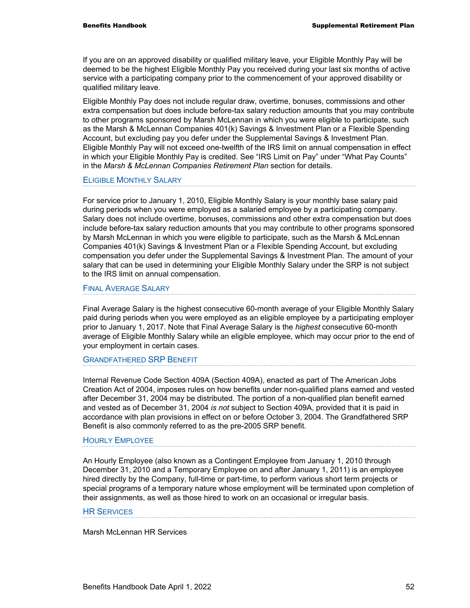If you are on an approved disability or qualified military leave, your Eligible Monthly Pay will be deemed to be the highest Eligible Monthly Pay you received during your last six months of active service with a participating company prior to the commencement of your approved disability or qualified military leave.

Eligible Monthly Pay does not include regular draw, overtime, bonuses, commissions and other extra compensation but does include before-tax salary reduction amounts that you may contribute to other programs sponsored by Marsh McLennan in which you were eligible to participate, such as the Marsh & McLennan Companies 401(k) Savings & Investment Plan or a Flexible Spending Account, but excluding pay you defer under the Supplemental Savings & Investment Plan. Eligible Monthly Pay will not exceed one-twelfth of the IRS limit on annual compensation in effect in which your Eligible Monthly Pay is credited. See "IRS Limit on Pay" under "What Pay Counts" in the *Marsh & McLennan Companies Retirement Plan* section for details.

#### ELIGIBLE MONTHLY SALARY

For service prior to January 1, 2010, Eligible Monthly Salary is your monthly base salary paid during periods when you were employed as a salaried employee by a participating company. Salary does not include overtime, bonuses, commissions and other extra compensation but does include before-tax salary reduction amounts that you may contribute to other programs sponsored by Marsh McLennan in which you were eligible to participate, such as the Marsh & McLennan Companies 401(k) Savings & Investment Plan or a Flexible Spending Account, but excluding compensation you defer under the Supplemental Savings & Investment Plan. The amount of your salary that can be used in determining your Eligible Monthly Salary under the SRP is not subject to the IRS limit on annual compensation.

#### FINAL AVERAGE SALARY

Final Average Salary is the highest consecutive 60-month average of your Eligible Monthly Salary paid during periods when you were employed as an eligible employee by a participating employer prior to January 1, 2017. Note that Final Average Salary is the *highest* consecutive 60-month average of Eligible Monthly Salary while an eligible employee, which may occur prior to the end of your employment in certain cases.

#### GRANDFATHERED SRP BENEFIT

Internal Revenue Code Section 409A (Section 409A), enacted as part of The American Jobs Creation Act of 2004, imposes rules on how benefits under non-qualified plans earned and vested after December 31, 2004 may be distributed. The portion of a non-qualified plan benefit earned and vested as of December 31, 2004 *is not* subject to Section 409A, provided that it is paid in accordance with plan provisions in effect on or before October 3, 2004. The Grandfathered SRP Benefit is also commonly referred to as the pre-2005 SRP benefit.

#### HOURLY EMPLOYEE

An Hourly Employee (also known as a Contingent Employee from January 1, 2010 through December 31, 2010 and a Temporary Employee on and after January 1, 2011) is an employee hired directly by the Company, full-time or part-time, to perform various short term projects or special programs of a temporary nature whose employment will be terminated upon completion of their assignments, as well as those hired to work on an occasional or irregular basis.

#### **HR SERVICES**

Marsh McLennan HR Services